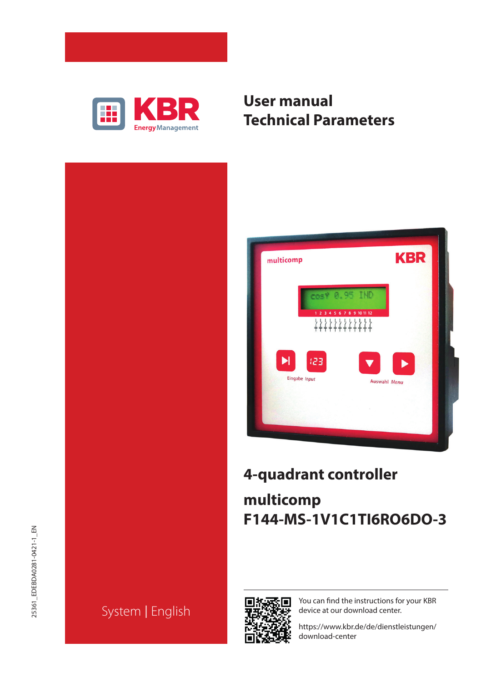

# **User manual Technical Parameters**

**4-quadrant controller**

בכו

Eingabe Input

**F144-MS-1V1C1TI6RO6DO-3**







**multicomp**

multicomp

 $\blacktriangleright$ 

You can find the instructions for your KBR device at our download center.

**KBR** 

Auswahl Menu

https://www.kbr.de/de/dienstleistungen/ download-center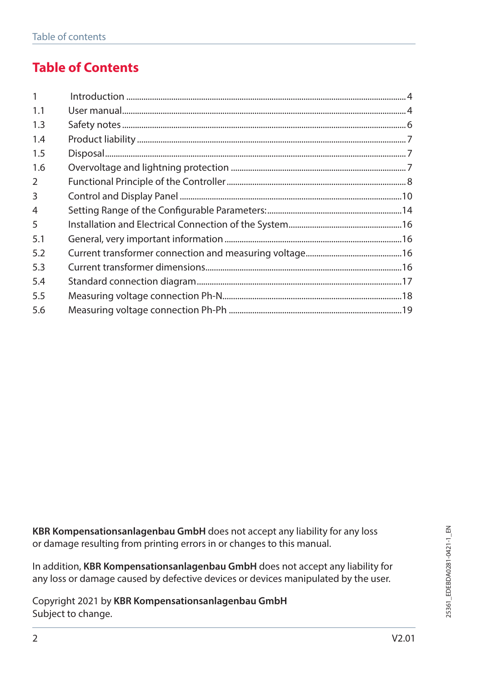# **Table of Contents**

| $\mathbf{1}$   |  |
|----------------|--|
| 1.1            |  |
| 1.3            |  |
| 1.4            |  |
| 1.5            |  |
| 1.6            |  |
| 2              |  |
| 3              |  |
| $\overline{4}$ |  |
| 5              |  |
| 5.1            |  |
| 5.2            |  |
| 5.3            |  |
| 5.4            |  |
| 5.5            |  |
| 5.6            |  |

**KBR Kompensationsanlagenbau GmbH** does not accept any liability for any loss or damage resulting from printing errors in or changes to this manual.

In addition, **KBR Kompensationsanlagenbau GmbH** does not accept any liability for any loss or damage caused by defective devices or devices manipulated by the user.

Copyright 2021 by **KBR Kompensationsanlagenbau GmbH** Subject to change.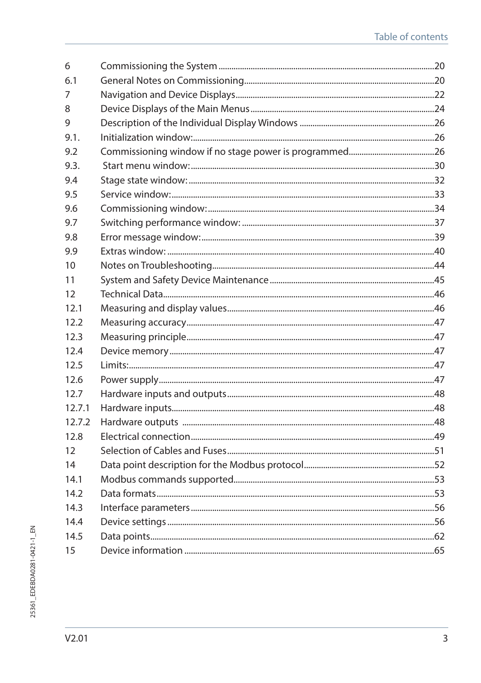| 6      |  |
|--------|--|
| 6.1    |  |
| 7      |  |
| 8      |  |
| 9      |  |
| 9.1.   |  |
| 9.2    |  |
| 9.3.   |  |
| 9.4    |  |
| 9.5    |  |
| 9.6    |  |
| 9.7    |  |
| 9.8    |  |
| 9.9    |  |
| 10     |  |
| 11     |  |
| 12     |  |
| 12.1   |  |
| 12.2   |  |
| 12.3   |  |
| 12.4   |  |
| 12.5   |  |
| 12.6   |  |
| 12.7   |  |
| 12.7.1 |  |
| 12.7.2 |  |
| 12.8   |  |
| 12     |  |
| 14     |  |
| 141    |  |
| 14.2   |  |
| 14.3   |  |
| 14.4   |  |
| 14.5   |  |
| 15     |  |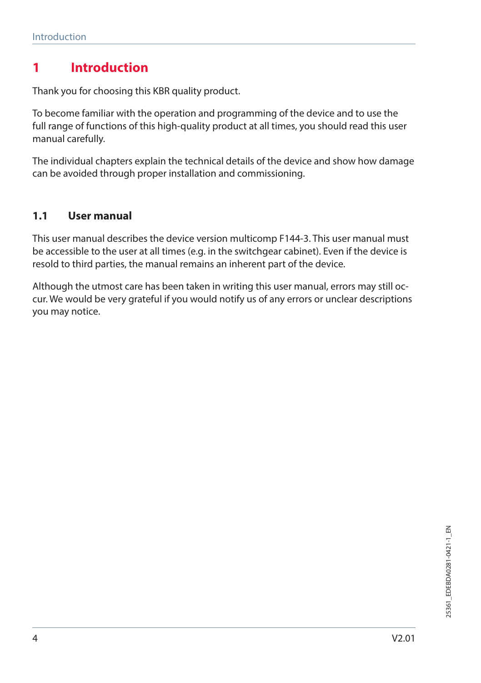## **1 Introduction**

Thank you for choosing this KBR quality product.

To become familiar with the operation and programming of the device and to use the full range of functions of this high-quality product at all times, you should read this user manual carefully.

The individual chapters explain the technical details of the device and show how damage can be avoided through proper installation and commissioning.

#### **1.1 User manual**

This user manual describes the device version multicomp F144-3. This user manual must be accessible to the user at all times (e.g. in the switchgear cabinet). Even if the device is resold to third parties, the manual remains an inherent part of the device.

Although the utmost care has been taken in writing this user manual, errors may still occur. We would be very grateful if you would notify us of any errors or unclear descriptions you may notice.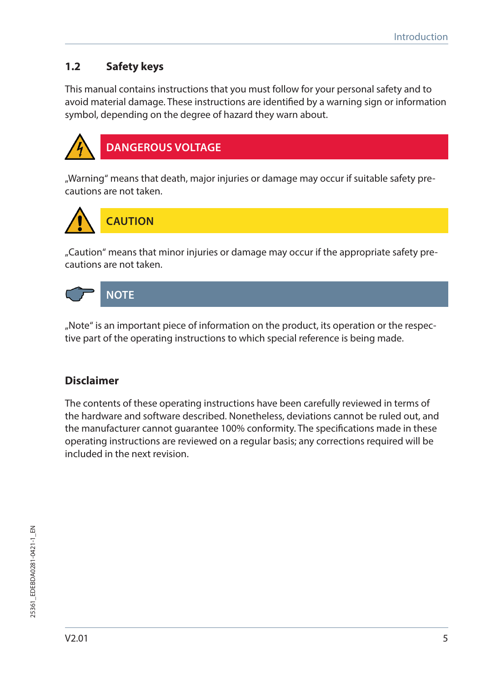## **1.2 Safety keys**

This manual contains instructions that you must follow for your personal safety and to avoid material damage. These instructions are identified by a warning sign or information symbol, depending on the degree of hazard they warn about.



"Warning" means that death, major injuries or damage may occur if suitable safety precautions are not taken.



"Caution" means that minor injuries or damage may occur if the appropriate safety precautions are not taken.



"Note" is an important piece of information on the product, its operation or the respective part of the operating instructions to which special reference is being made.

## **Disclaimer**

The contents of these operating instructions have been carefully reviewed in terms of the hardware and software described. Nonetheless, deviations cannot be ruled out, and the manufacturer cannot guarantee 100% conformity. The specifications made in these operating instructions are reviewed on a regular basis; any corrections required will be included in the next revision.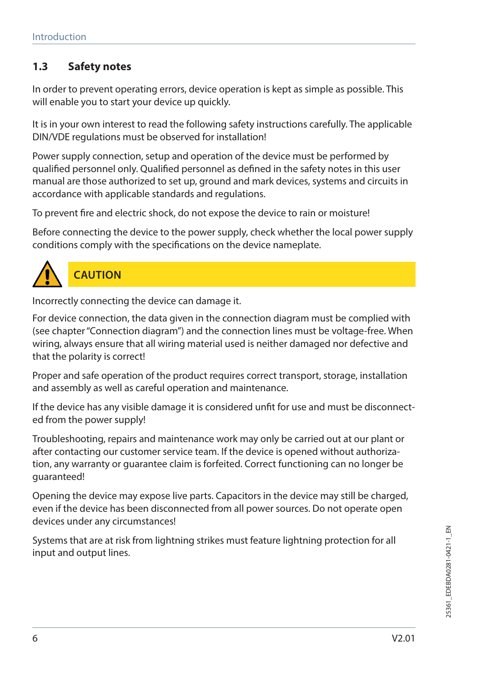## **1.3 Safety notes**

In order to prevent operating errors, device operation is kept as simple as possible. This will enable you to start your device up quickly.

It is in your own interest to read the following safety instructions carefully. The applicable DIN/VDE regulations must be observed for installation!

Power supply connection, setup and operation of the device must be performed by qualified personnel only. Qualified personnel as defined in the safety notes in this user manual are those authorized to set up, ground and mark devices, systems and circuits in accordance with applicable standards and regulations.

To prevent fire and electric shock, do not expose the device to rain or moisture!

Before connecting the device to the power supply, check whether the local power supply conditions comply with the specifications on the device nameplate.



# **CAUTION**

Incorrectly connecting the device can damage it.

For device connection, the data given in the connection diagram must be complied with (see chapter "Connection diagram") and the connection lines must be voltage-free. When wiring, always ensure that all wiring material used is neither damaged nor defective and that the polarity is correct!

Proper and safe operation of the product requires correct transport, storage, installation and assembly as well as careful operation and maintenance.

If the device has any visible damage it is considered unfit for use and must be disconnected from the power supply!

Troubleshooting, repairs and maintenance work may only be carried out at our plant or after contacting our customer service team. If the device is opened without authorization, any warranty or guarantee claim is forfeited. Correct functioning can no longer be guaranteed!

Opening the device may expose live parts. Capacitors in the device may still be charged, even if the device has been disconnected from all power sources. Do not operate open devices under any circumstances!

Systems that are at risk from lightning strikes must feature lightning protection for all input and output lines.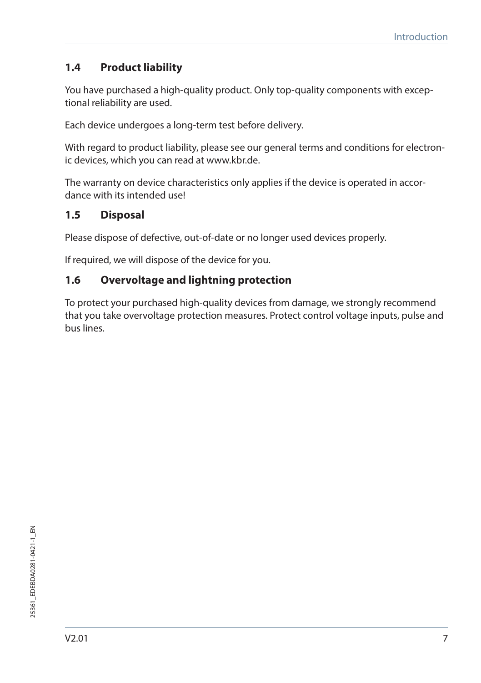## **1.4 Product liability**

You have purchased a high-quality product. Only top-quality components with exceptional reliability are used.

Each device undergoes a long-term test before delivery.

With regard to product liability, please see our general terms and conditions for electronic devices, which you can read at www.kbr.de.

The warranty on device characteristics only applies if the device is operated in accordance with its intended use!

## **1.5 Disposal**

Please dispose of defective, out-of-date or no longer used devices properly.

If required, we will dispose of the device for you.

## **1.6 Overvoltage and lightning protection**

To protect your purchased high-quality devices from damage, we strongly recommend that you take overvoltage protection measures. Protect control voltage inputs, pulse and bus lines.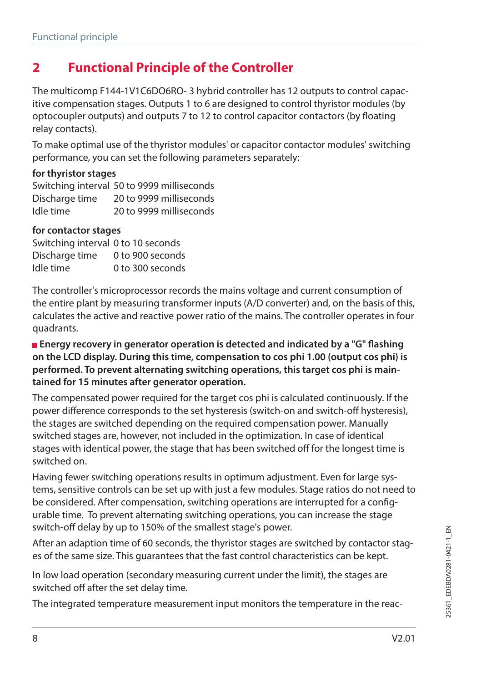# **2 Functional Principle of the Controller**

The multicomp F144-1V1C6DO6RO- 3 hybrid controller has 12 outputs to control capacitive compensation stages. Outputs 1 to 6 are designed to control thyristor modules (by optocoupler outputs) and outputs 7 to 12 to control capacitor contactors (by floating relay contacts).

To make optimal use of the thyristor modules' or capacitor contactor modules' switching performance, you can set the following parameters separately:

#### **for thyristor stages**

Switching interval 50 to 9999 milliseconds Discharge time 20 to 9999 milliseconds Idle time 20 to 9999 milliseconds

#### **for contactor stages**

Switching interval 0 to 10 seconds Discharge time 0 to 900 seconds Idle time 0 to 300 seconds

The controller's microprocessor records the mains voltage and current consumption of the entire plant by measuring transformer inputs (A/D converter) and, on the basis of this, calculates the active and reactive power ratio of the mains. The controller operates in four quadrants.

#### **Energy recovery in generator operation is detected and indicated by a "G" flashing on the LCD display. During this time, compensation to cos phi 1.00 (output cos phi) is performed. To prevent alternating switching operations, this target cos phi is maintained for 15 minutes after generator operation.**

The compensated power required for the target cos phi is calculated continuously. If the power difference corresponds to the set hysteresis (switch-on and switch-off hysteresis), the stages are switched depending on the required compensation power. Manually switched stages are, however, not included in the optimization. In case of identical stages with identical power, the stage that has been switched off for the longest time is switched on.

Having fewer switching operations results in optimum adjustment. Even for large systems, sensitive controls can be set up with just a few modules. Stage ratios do not need to be considered. After compensation, switching operations are interrupted for a configurable time. To prevent alternating switching operations, you can increase the stage switch-off delay by up to 150% of the smallest stage's power.

After an adaption time of 60 seconds, the thyristor stages are switched by contactor stages of the same size. This guarantees that the fast control characteristics can be kept.

In low load operation (secondary measuring current under the limit), the stages are switched off after the set delay time.

The integrated temperature measurement input monitors the temperature in the reac-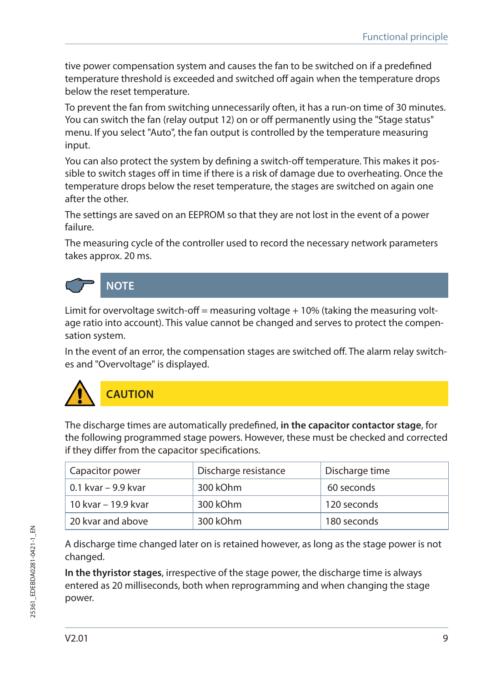tive power compensation system and causes the fan to be switched on if a predefined temperature threshold is exceeded and switched off again when the temperature drops below the reset temperature.

To prevent the fan from switching unnecessarily often, it has a run-on time of 30 minutes. You can switch the fan (relay output 12) on or off permanently using the "Stage status" menu. If you select "Auto", the fan output is controlled by the temperature measuring input.

You can also protect the system by defining a switch-off temperature. This makes it possible to switch stages off in time if there is a risk of damage due to overheating. Once the temperature drops below the reset temperature, the stages are switched on again one after the other.

The settings are saved on an EEPROM so that they are not lost in the event of a power failure.

The measuring cycle of the controller used to record the necessary network parameters takes approx. 20 ms.



Limit for overvoltage switch-off = measuring voltage  $+10%$  (taking the measuring voltage ratio into account). This value cannot be changed and serves to protect the compensation system.

In the event of an error, the compensation stages are switched off. The alarm relay switches and "Overvoltage" is displayed.



# **CAUTION**

The discharge times are automatically predefined, **in the capacitor contactor stage**, for the following programmed stage powers. However, these must be checked and corrected if they differ from the capacitor specifications.

| Capacitor power     | Discharge resistance | Discharge time |
|---------------------|----------------------|----------------|
| 0.1 kvar – 9.9 kvar | 300 kOhm             | 60 seconds     |
| 10 kvar – 19.9 kvar | 300 kOhm             | 120 seconds    |
| 20 kvar and above   | 300 kOhm             | 180 seconds    |

A discharge time changed later on is retained however, as long as the stage power is not changed.

**In the thyristor stages**, irrespective of the stage power, the discharge time is always entered as 20 milliseconds, both when reprogramming and when changing the stage power.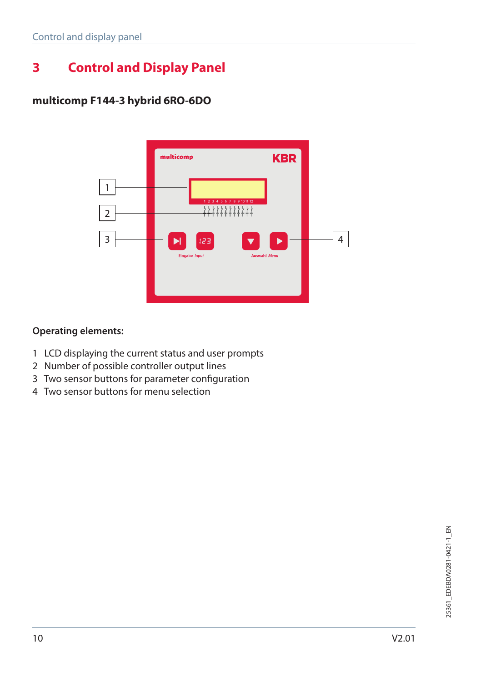# **3 Control and Display Panel**

## **multicomp F144-3 hybrid 6RO-6DO**



#### **Operating elements:**

- 1 LCD displaying the current status and user prompts
- 2 Number of possible controller output lines
- 3 Two sensor buttons for parameter configuration
- 4 Two sensor buttons for menu selection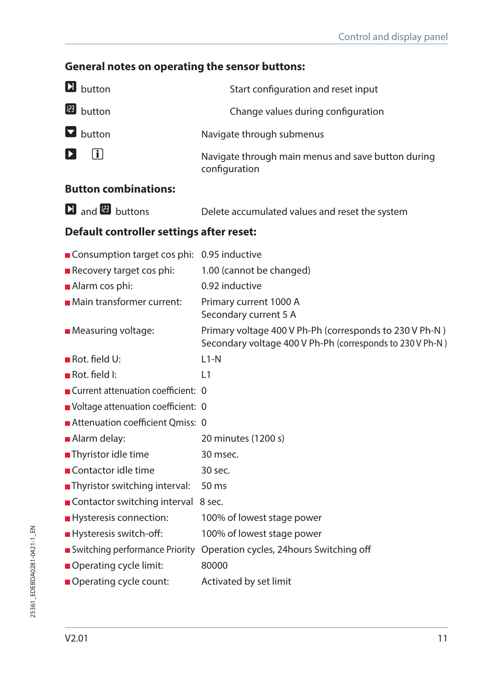# **General notes on operating the sensor buttons:**

| <b>D</b> button                            | Start configuration and reset input                                                                                  |
|--------------------------------------------|----------------------------------------------------------------------------------------------------------------------|
| <b>B</b> button                            | Change values during configuration                                                                                   |
| $\blacksquare$ button                      | Navigate through submenus                                                                                            |
| $\left[ \cdot \right]$<br>ÞЕ               | Navigate through main menus and save button during<br>configuration                                                  |
| <b>Button combinations:</b>                |                                                                                                                      |
| $\Box$ and $\Box$ buttons                  | Delete accumulated values and reset the system                                                                       |
| Default controller settings after reset:   |                                                                                                                      |
| Consumption target cos phi: 0.95 inductive |                                                                                                                      |
| Recovery target cos phi:                   | 1.00 (cannot be changed)                                                                                             |
| Alarm cos phi:                             | 0.92 inductive                                                                                                       |
| Main transformer current:                  | Primary current 1000 A<br>Secondary current 5 A                                                                      |
| Measuring voltage:                         | Primary voltage 400 V Ph-Ph (corresponds to 230 V Ph-N)<br>Secondary voltage 400 V Ph-Ph (corresponds to 230 V Ph-N) |
| $\blacksquare$ Rot. field U:               | $L1-N$                                                                                                               |
| $\blacksquare$ Rot. field I:               | 11                                                                                                                   |
| Current attenuation coefficient: 0         |                                                                                                                      |
| Voltage attenuation coefficient: 0         |                                                                                                                      |
| Attenuation coefficient Qmiss: 0           |                                                                                                                      |
| Alarm delay:                               | 20 minutes (1200 s)                                                                                                  |
| ■ Thyristor idle time                      | 30 msec.                                                                                                             |
| ■ Contactor idle time                      | 30 sec.                                                                                                              |
| ■ Thyristor switching interval:            | 50 ms                                                                                                                |
| Contactor switching interval               | 8 sec.                                                                                                               |
| Hysteresis connection:                     | 100% of lowest stage power                                                                                           |
| Hysteresis switch-off:                     | 100% of lowest stage power                                                                                           |
| Switching performance Priority             | Operation cycles, 24hours Switching off                                                                              |
| Operating cycle limit:                     | 80000                                                                                                                |
| Operating cycle count:                     | Activated by set limit                                                                                               |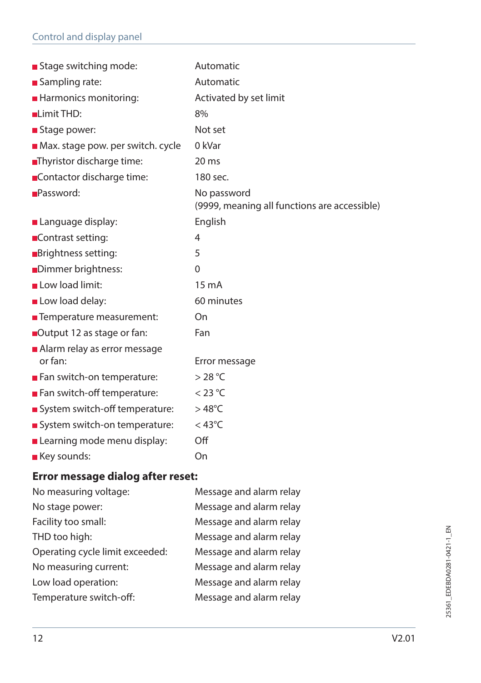| Stage switching mode:                   | Automatic                                                   |
|-----------------------------------------|-------------------------------------------------------------|
| ■ Sampling rate:                        | Automatic                                                   |
| Harmonics monitoring:                   | Activated by set limit                                      |
| $\blacksquare$ Limit THD:               | 8%                                                          |
| Stage power:                            | Not set                                                     |
| Max. stage pow. per switch. cycle       | 0 kVar                                                      |
| <b>Thyristor discharge time:</b>        | 20 <sub>ms</sub>                                            |
| Contactor discharge time:               | 180 sec.                                                    |
| Password:                               | No password<br>(9999, meaning all functions are accessible) |
| $\blacksquare$ Language display:        | English                                                     |
| <b>■Contrast setting:</b>               | 4                                                           |
| <b>Brightness setting:</b>              | 5                                                           |
| Dimmer brightness:                      | $\Omega$                                                    |
| Low load limit:                         | $15 \text{ mA}$                                             |
| Low load delay:                         | 60 minutes                                                  |
| ■ Temperature measurement:              | On                                                          |
| ■Output 12 as stage or fan:             | Fan                                                         |
| Alarm relay as error message<br>or fan: | Error message                                               |
| Fan switch-on temperature:              | $>$ 28 °C                                                   |
| Fan switch-off temperature:             | $<$ 23 °C                                                   |
| System switch-off temperature:          | $>48^{\circ}$ C                                             |
|                                         | $<$ 43°C                                                    |
| System switch-on temperature:           |                                                             |
| Learning mode menu display:             | Off                                                         |
| <b>Key sounds:</b>                      | On                                                          |

## **Error message dialog after reset:**

| No measuring voltage:           | Message and alarm relay |
|---------------------------------|-------------------------|
| No stage power:                 | Message and alarm relay |
| Facility too small:             | Message and alarm relay |
| THD too high:                   | Message and alarm relay |
| Operating cycle limit exceeded: | Message and alarm relay |
| No measuring current:           | Message and alarm relay |
| Low load operation:             | Message and alarm relay |
| Temperature switch-off:         | Message and alarm relay |
|                                 |                         |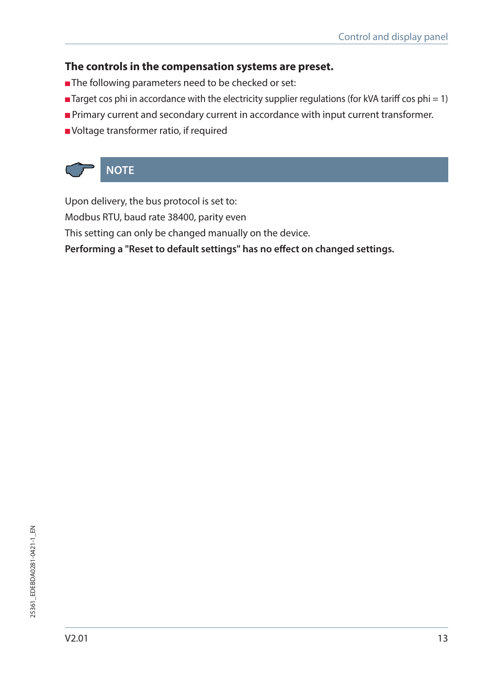#### **The controls in the compensation systems are preset.**

- The following parameters need to be checked or set:
- Target cos phi in accordance with the electricity supplier regulations (for kVA tariff cos phi = 1)
- **Primary current and secondary current in accordance with input current transformer.**
- Voltage transformer ratio, if required



Upon delivery, the bus protocol is set to: Modbus RTU, baud rate 38400, parity even This setting can only be changed manually on the device. **Performing a "Reset to default settings" has no effect on changed settings.**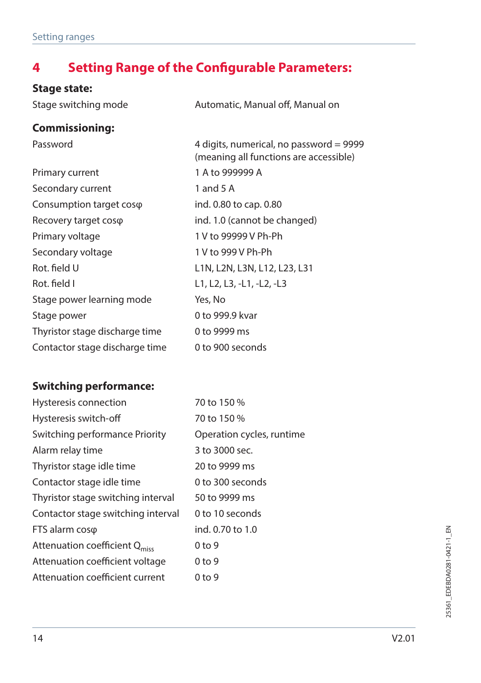# **4 Setting Range of the Configurable Parameters:**

#### **Stage state:**

Automatic, Manual off, Manual on

#### **Commissioning:**

Password **4** digits, numerical, no password = 9999

|                                | (meaning all functions are accessible) |
|--------------------------------|----------------------------------------|
| Primary current                | 1 A to 999999 A                        |
| Secondary current              | 1 and 5 A                              |
| Consumption target coso        | ind. 0.80 to cap. 0.80                 |
| Recovery target coso           | ind. 1.0 (cannot be changed)           |
| Primary voltage                | 1 V to 99999 V Ph-Ph                   |
| Secondary voltage              | 1 V to 999 V Ph-Ph                     |
| Rot. field U                   | L1N, L2N, L3N, L12, L23, L31           |
| Rot. field I                   | L1, L2, L3, -L1, -L2, -L3              |
| Stage power learning mode      | Yes, No                                |
| Stage power                    | 0 to 999.9 kvar                        |
| Thyristor stage discharge time | 0 to 9999 ms                           |
| Contactor stage discharge time | 0 to 900 seconds                       |

## **Switching performance:**

| Hysteresis connection                     | 70 to 150 %               |
|-------------------------------------------|---------------------------|
| Hysteresis switch-off                     | 70 to 150 %               |
| Switching performance Priority            | Operation cycles, runtime |
| Alarm relay time                          | 3 to 3000 sec.            |
| Thyristor stage idle time                 | 20 to 9999 ms             |
| Contactor stage idle time                 | 0 to 300 seconds          |
| Thyristor stage switching interval        | 50 to 9999 ms             |
| Contactor stage switching interval        | 0 to 10 seconds           |
| FTS alarm coso                            | ind, 0.70 to 1.0          |
| Attenuation coefficient Q <sub>miss</sub> | 0 <sub>to</sub> 9         |
| Attenuation coefficient voltage           | 0 <sub>to</sub> 9         |
| Attenuation coefficient current           | 0 to 9                    |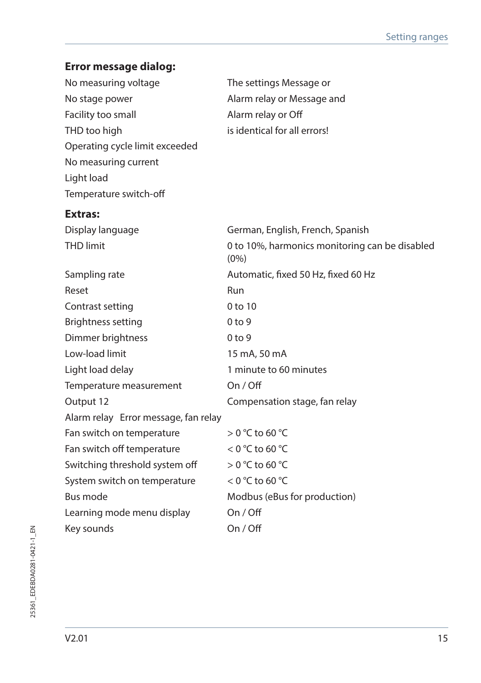| <b>Error message dialog:</b>         |                                                           |
|--------------------------------------|-----------------------------------------------------------|
| No measuring voltage                 | The settings Message or                                   |
| No stage power                       | Alarm relay or Message and                                |
| Facility too small                   | Alarm relay or Off                                        |
| THD too high                         | is identical for all errors!                              |
| Operating cycle limit exceeded       |                                                           |
| No measuring current                 |                                                           |
| Light load                           |                                                           |
| Temperature switch-off               |                                                           |
| Extras:                              |                                                           |
| Display language                     | German, English, French, Spanish                          |
| <b>THD limit</b>                     | 0 to 10%, harmonics monitoring can be disabled<br>$(0\%)$ |
| Sampling rate                        | Automatic, fixed 50 Hz, fixed 60 Hz                       |
| Reset                                | Run                                                       |
| Contrast setting                     | $0$ to $10$                                               |
| <b>Brightness setting</b>            | 0 <sub>to</sub> 9                                         |
| Dimmer brightness                    | 0 <sub>to</sub> 9                                         |
| Low-load limit                       | 15 mA, 50 mA                                              |
| Light load delay                     | 1 minute to 60 minutes                                    |
| Temperature measurement              | On / Off                                                  |
| Output 12                            | Compensation stage, fan relay                             |
| Alarm relay Error message, fan relay |                                                           |
| Fan switch on temperature            | $> 0 °C$ to 60 °C                                         |
| Fan switch off temperature           | $<$ 0 °C to 60 °C                                         |
| Switching threshold system off       | $>$ 0 °C to 60 °C                                         |
| System switch on temperature         | $<$ 0 °C to 60 °C                                         |
| <b>Bus mode</b>                      | Modbus (eBus for production)                              |
| Learning mode menu display           | On $/$ Off                                                |
| Key sounds                           | On / Off                                                  |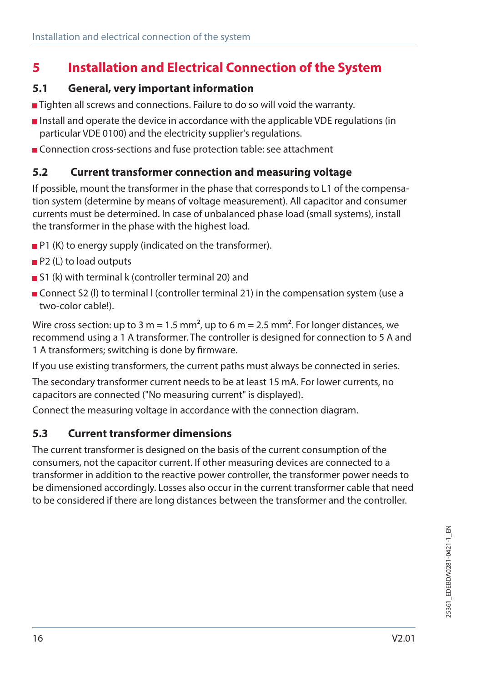# **5 Installation and Electrical Connection of the System**

#### **5.1 General, very important information**

- Tighten all screws and connections. Failure to do so will void the warranty.
- Install and operate the device in accordance with the applicable VDE regulations (in particular VDE 0100) and the electricity supplier's regulations.
- **Connection cross-sections and fuse protection table: see attachment**

## **5.2 Current transformer connection and measuring voltage**

If possible, mount the transformer in the phase that corresponds to L1 of the compensation system (determine by means of voltage measurement). All capacitor and consumer currents must be determined. In case of unbalanced phase load (small systems), install the transformer in the phase with the highest load.

- **P1** (K) to energy supply (indicated on the transformer).
- **P2** (L) to load outputs
- S1 (k) with terminal k (controller terminal 20) and
- **Connect S2 (I) to terminal I (controller terminal 21) in the compensation system (use a** two-color cable!).

Wire cross section: up to 3 m = 1.5 mm<sup>2</sup>, up to 6 m = 2.5 mm<sup>2</sup>. For longer distances, we recommend using a 1 A transformer. The controller is designed for connection to 5 A and 1 A transformers; switching is done by firmware.

If you use existing transformers, the current paths must always be connected in series.

The secondary transformer current needs to be at least 15 mA. For lower currents, no capacitors are connected ("No measuring current" is displayed).

Connect the measuring voltage in accordance with the connection diagram.

## **5.3 Current transformer dimensions**

The current transformer is designed on the basis of the current consumption of the consumers, not the capacitor current. If other measuring devices are connected to a transformer in addition to the reactive power controller, the transformer power needs to be dimensioned accordingly. Losses also occur in the current transformer cable that need to be considered if there are long distances between the transformer and the controller.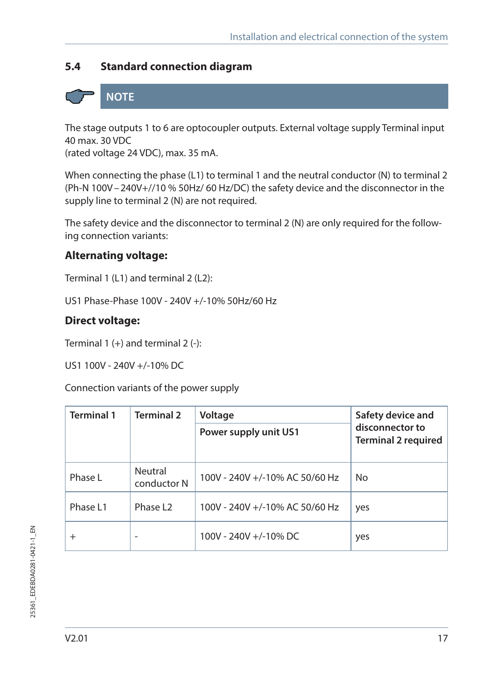## **5.4 Standard connection diagram**

# **NOTE**

The stage outputs 1 to 6 are optocoupler outputs. External voltage supply Terminal input 40 max. 30 VDC

(rated voltage 24 VDC), max. 35 mA.

When connecting the phase (L1) to terminal 1 and the neutral conductor (N) to terminal 2 (Ph-N 100V–240V+//10 % 50Hz/ 60 Hz/DC) the safety device and the disconnector in the supply line to terminal 2 (N) are not required.

The safety device and the disconnector to terminal 2 (N) are only required for the following connection variants:

#### **Alternating voltage:**

Terminal 1 (L1) and terminal 2 (L2):

US1 Phase-Phase 100V - 240V +/-10% 50Hz/60 Hz

#### **Direct voltage:**

Terminal  $1 (+)$  and terminal  $2 (-)$ :

US1 100V - 240V +/-10% DC

Connection variants of the power supply

| <b>Terminal 1</b> | <b>Terminal 2</b>      | Voltage                        | Safety device and                             |
|-------------------|------------------------|--------------------------------|-----------------------------------------------|
|                   |                        | Power supply unit US1          | disconnector to<br><b>Terminal 2 required</b> |
| Phase L           | Neutral<br>conductor N | 100V - 240V +/-10% AC 50/60 Hz | No                                            |
| Phase L1          | Phase 12               | 100V - 240V +/-10% AC 50/60 Hz | yes                                           |
| $^{+}$            |                        | 100V - 240V +/-10% DC          | yes                                           |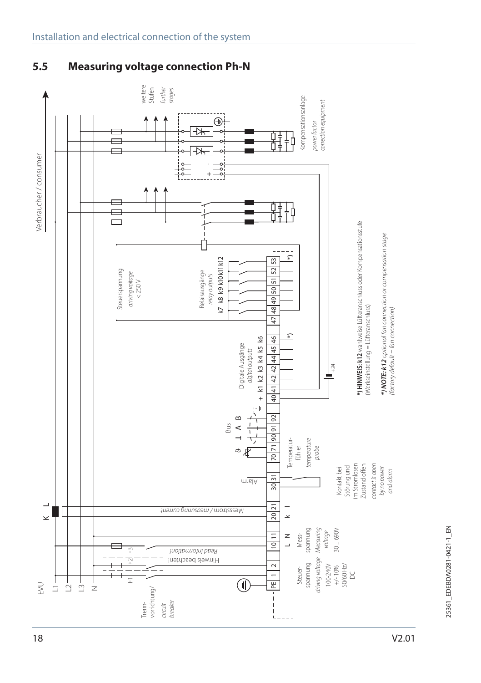

## **5.5 Measuring voltage connection Ph-N**

V2.01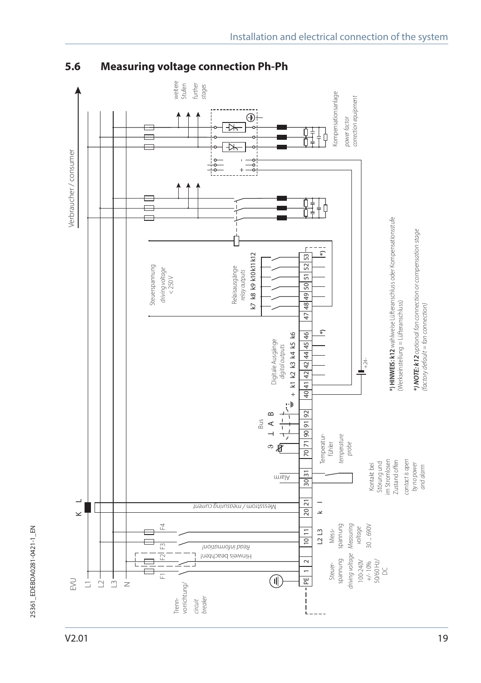V2.01



## **5.6 Measuring voltage connection Ph-Ph**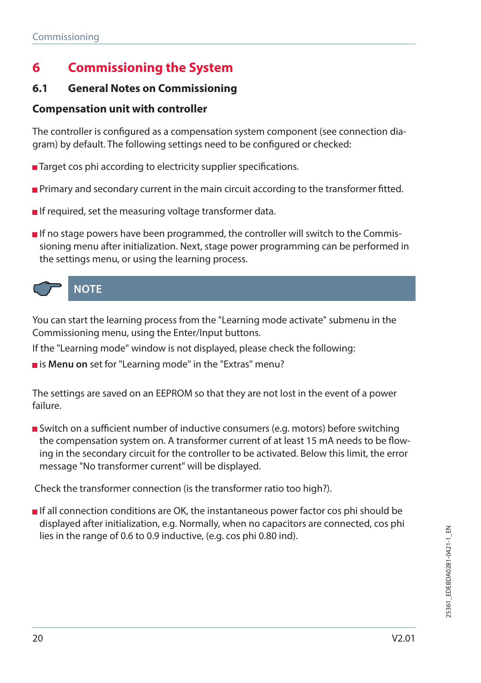# **6 Commissioning the System**

#### **6.1 General Notes on Commissioning**

#### **Compensation unit with controller**

The controller is configured as a compensation system component (see connection diagram) by default. The following settings need to be configured or checked:

- Target cos phi according to electricity supplier specifications.
- **Primary and secondary current in the main circuit according to the transformer fitted.**
- If required, set the measuring voltage transformer data.
- If no stage powers have been programmed, the controller will switch to the Commissioning menu after initialization. Next, stage power programming can be performed in the settings menu, or using the learning process.



You can start the learning process from the "Learning mode activate" submenu in the Commissioning menu, using the Enter/Input buttons.

If the "Learning mode" window is not displayed, please check the following:

is **Menu on** set for "Learning mode" in the "Extras" menu?

The settings are saved on an EEPROM so that they are not lost in the event of a power failure.

Switch on a sufficient number of inductive consumers (e.g. motors) before switching the compensation system on. A transformer current of at least 15 mA needs to be flowing in the secondary circuit for the controller to be activated. Below this limit, the error message "No transformer current" will be displayed.

Check the transformer connection (is the transformer ratio too high?).

**If all connection conditions are OK, the instantaneous power factor cos phi should be** displayed after initialization, e.g. Normally, when no capacitors are connected, cos phi lies in the range of 0.6 to 0.9 inductive, (e.g. cos phi 0.80 ind).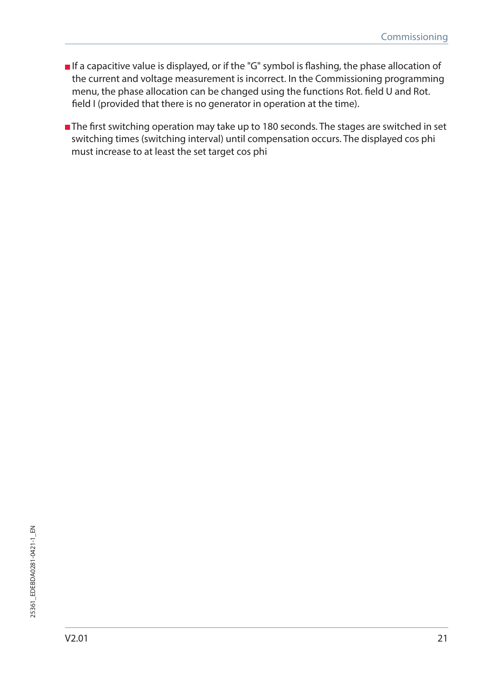- **If a capacitive value is displayed, or if the "G" symbol is flashing, the phase allocation of** the current and voltage measurement is incorrect. In the Commissioning programming menu, the phase allocation can be changed using the functions Rot. field U and Rot. field I (provided that there is no generator in operation at the time).
- The first switching operation may take up to 180 seconds. The stages are switched in set switching times (switching interval) until compensation occurs. The displayed cos phi must increase to at least the set target cos phi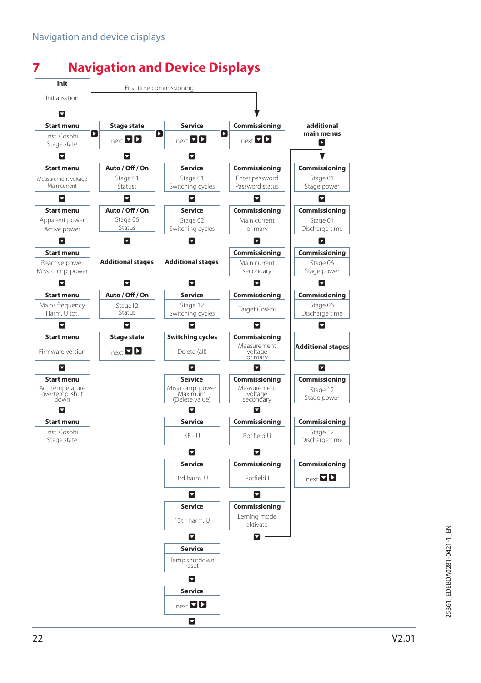# **7 Navigation and Device Displays**

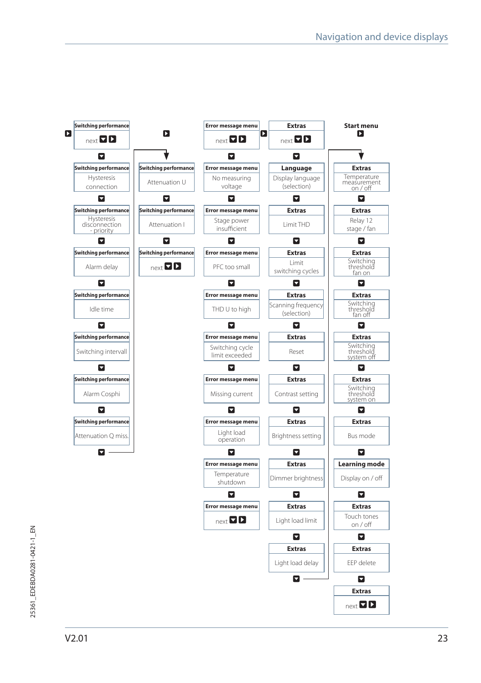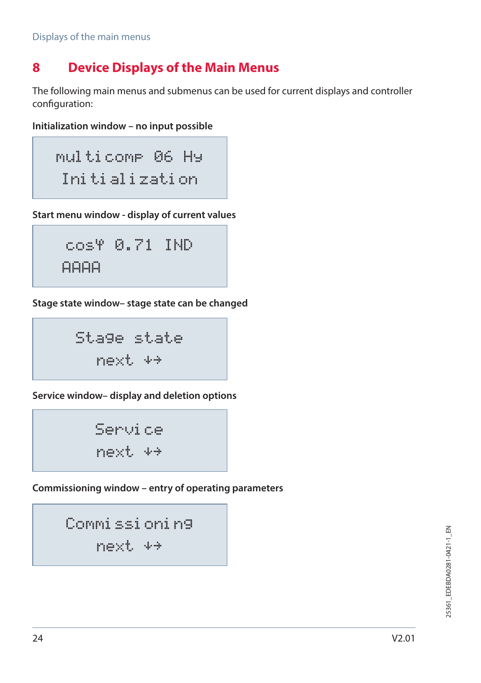# **8 Device Displays of the Main Menus**

The following main menus and submenus can be used for current displays and controller configuration:

#### **Initialization window – no input possible**

multicomp 06 Hy Initialization

**Start menu window - display of current values**

```
\cos\varphi \theta, \overline{Z}1 \overline{I}NDAAAA
```
**Stage state window– stage state can be changed**

```
Stage state
  next
```
**Service window– display and deletion options**

$$
\begin{array}{c} \text{Service} \\ \text{next} \end{array}
$$

**Commissioning window – entry of operating parameters**

Commissioning next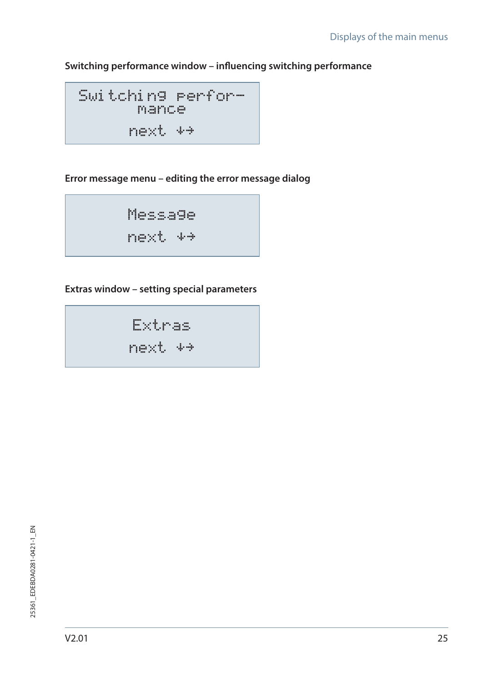**Switching performance window – influencing switching performance**

Switching perform

\nname

\nnext 
$$
\leftrightarrow
$$

**Error message menu – editing the error message dialog**

Message next

## **Extras window – setting special parameters**

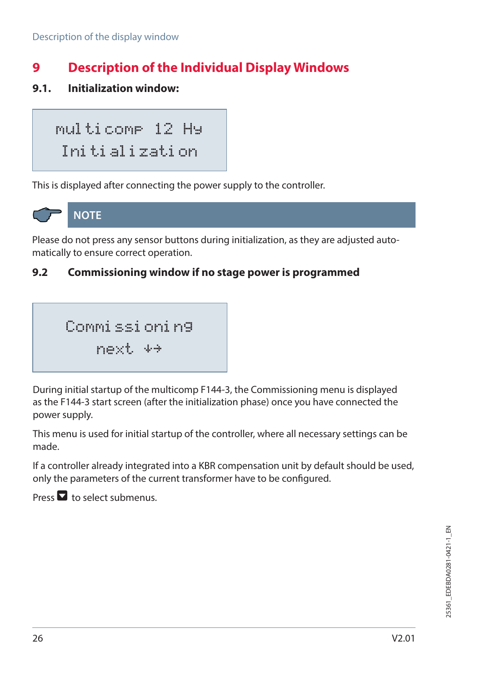# **9 Description of the Individual Display Windows**

**9.1. Initialization window:**



This is displayed after connecting the power supply to the controller.



**NOTE**

Please do not press any sensor buttons during initialization, as they are adjusted automatically to ensure correct operation.

## **9.2 Commissioning window if no stage power is programmed**

Commissioning next

During initial startup of the multicomp F144-3, the Commissioning menu is displayed as the F144-3 start screen (after the initialization phase) once you have connected the power supply.

This menu is used for initial startup of the controller, where all necessary settings can be made.

If a controller already integrated into a KBR compensation unit by default should be used, only the parameters of the current transformer have to be configured.

Press  $\blacksquare$  to select submenus.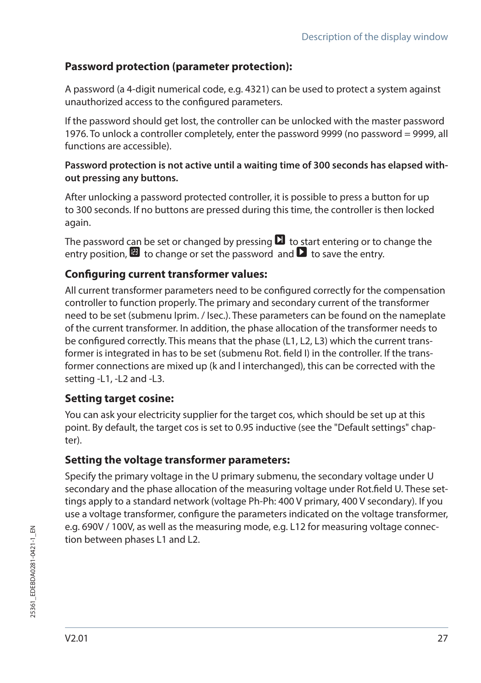## **Password protection (parameter protection):**

A password (a 4-digit numerical code, e.g. 4321) can be used to protect a system against unauthorized access to the configured parameters.

If the password should get lost, the controller can be unlocked with the master password 1976. To unlock a controller completely, enter the password 9999 (no password = 9999, all functions are accessible).

#### **Password protection is not active until a waiting time of 300 seconds has elapsed without pressing any buttons.**

After unlocking a password protected controller, it is possible to press a button for up to 300 seconds. If no buttons are pressed during this time, the controller is then locked again.

The password can be set or changed by pressing  $\Box$  to start entering or to change the entry position,  $\blacksquare$  to change or set the password and  $\blacksquare$  to save the entry.

## **Configuring current transformer values:**

All current transformer parameters need to be configured correctly for the compensation controller to function properly. The primary and secondary current of the transformer need to be set (submenu Iprim. / Isec.). These parameters can be found on the nameplate of the current transformer. In addition, the phase allocation of the transformer needs to be configured correctly. This means that the phase (L1, L2, L3) which the current transformer is integrated in has to be set (submenu Rot. field I) in the controller. If the transformer connections are mixed up (k and l interchanged), this can be corrected with the setting -L1, -L2 and -L3.

## **Setting target cosine:**

You can ask your electricity supplier for the target cos, which should be set up at this point. By default, the target cos is set to 0.95 inductive (see the "Default settings" chapter).

## **Setting the voltage transformer parameters:**

Specify the primary voltage in the U primary submenu, the secondary voltage under U secondary and the phase allocation of the measuring voltage under Rot.field U. These settings apply to a standard network (voltage Ph-Ph: 400 V primary, 400 V secondary). If you use a voltage transformer, configure the parameters indicated on the voltage transformer, e.g. 690V / 100V, as well as the measuring mode, e.g. L12 for measuring voltage connection between phases L1 and L2.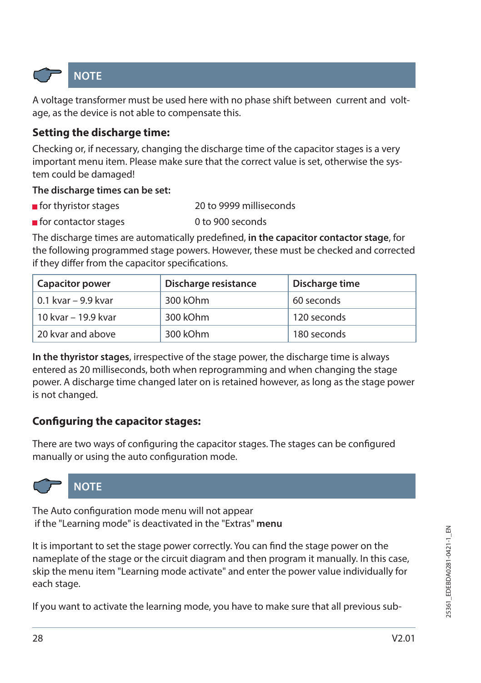

A voltage transformer must be used here with no phase shift between current and voltage, as the device is not able to compensate this.

## **Setting the discharge time:**

Checking or, if necessary, changing the discharge time of the capacitor stages is a very important menu item. Please make sure that the correct value is set, otherwise the system could be damaged!

#### **The discharge times can be set:**

- **for thyristor stages** 20 to 9999 milliseconds
- **for contactor stages** 0 to 900 seconds

The discharge times are automatically predefined, **in the capacitor contactor stage**, for the following programmed stage powers. However, these must be checked and corrected if they differ from the capacitor specifications.

| <b>Capacitor power</b> | Discharge resistance | Discharge time |
|------------------------|----------------------|----------------|
| 0.1 kvar – 9.9 kvar    | 300 kOhm             | 60 seconds     |
| 10 kvar – 19.9 kvar    | 300 kOhm             | 120 seconds    |
| 20 kvar and above      | 300 kOhm             | 180 seconds    |

**In the thyristor stages**, irrespective of the stage power, the discharge time is always entered as 20 milliseconds, both when reprogramming and when changing the stage power. A discharge time changed later on is retained however, as long as the stage power is not changed.

## **Configuring the capacitor stages:**

There are two ways of configuring the capacitor stages. The stages can be configured manually or using the auto configuration mode.



**NOTE**

The Auto configuration mode menu will not appear if the "Learning mode" is deactivated in the "Extras" **menu**

It is important to set the stage power correctly. You can find the stage power on the nameplate of the stage or the circuit diagram and then program it manually. In this case, skip the menu item "Learning mode activate" and enter the power value individually for each stage.

If you want to activate the learning mode, you have to make sure that all previous sub-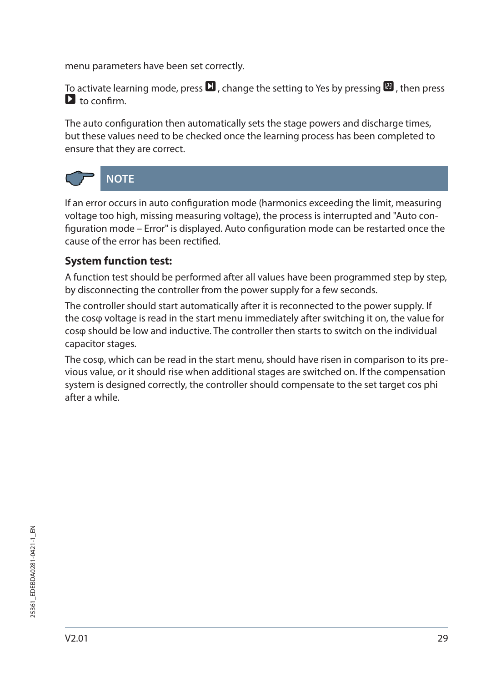menu parameters have been set correctly.

To activate learning mode, press  $\Box$ , change the setting to Yes by pressing  $\Box$ , then press  $\mathbf{\mathsf{D}}$  to confirm.

The auto configuration then automatically sets the stage powers and discharge times, but these values need to be checked once the learning process has been completed to ensure that they are correct.



If an error occurs in auto configuration mode (harmonics exceeding the limit, measuring voltage too high, missing measuring voltage), the process is interrupted and "Auto configuration mode – Error" is displayed. Auto configuration mode can be restarted once the cause of the error has been rectified.

#### **System function test:**

A function test should be performed after all values have been programmed step by step, by disconnecting the controller from the power supply for a few seconds.

The controller should start automatically after it is reconnected to the power supply. If the cosφ voltage is read in the start menu immediately after switching it on, the value for cosφ should be low and inductive. The controller then starts to switch on the individual capacitor stages.

The cosφ, which can be read in the start menu, should have risen in comparison to its previous value, or it should rise when additional stages are switched on. If the compensation system is designed correctly, the controller should compensate to the set target cos phi after a while.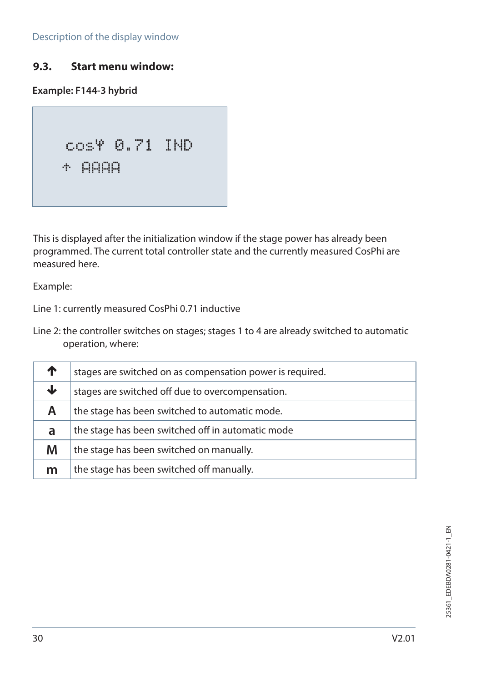## **9.3. Start menu window:**

**Example: F144-3 hybrid** 

```
cos 0.71 IND
\uparrow AAAA
```
This is displayed after the initialization window if the stage power has already been programmed. The current total controller state and the currently measured CosPhi are measured here.

Example:

Line 1: currently measured CosPhi 0.71 inductive

Line 2: the controller switches on stages; stages 1 to 4 are already switched to automatic operation, where:

| T. | stages are switched on as compensation power is required. |
|----|-----------------------------------------------------------|
| ┻  | stages are switched off due to overcompensation.          |
| Α  | the stage has been switched to automatic mode.            |
| a  | the stage has been switched off in automatic mode         |
| М  | the stage has been switched on manually.                  |
| m  | the stage has been switched off manually.                 |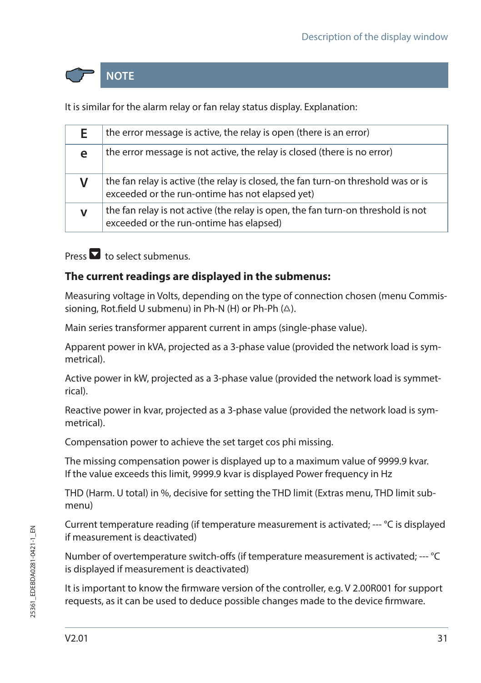

It is similar for the alarm relay or fan relay status display. Explanation:

|   | the error message is active, the relay is open (there is an error)                                                                   |
|---|--------------------------------------------------------------------------------------------------------------------------------------|
| e | the error message is not active, the relay is closed (there is no error)                                                             |
|   | the fan relay is active (the relay is closed, the fan turn-on threshold was or is<br>exceeded or the run-ontime has not elapsed yet) |
|   | the fan relay is not active (the relay is open, the fan turn-on threshold is not<br>exceeded or the run-ontime has elapsed)          |

Press  $\blacksquare$  to select submenus.

#### **The current readings are displayed in the submenus:**

Measuring voltage in Volts, depending on the type of connection chosen (menu Commissioning, Rot.field U submenu) in Ph-N (H) or Ph-Ph  $(A)$ .

Main series transformer apparent current in amps (single-phase value).

Apparent power in kVA, projected as a 3-phase value (provided the network load is symmetrical).

Active power in kW, projected as a 3-phase value (provided the network load is symmetrical).

Reactive power in kvar, projected as a 3-phase value (provided the network load is symmetrical).

Compensation power to achieve the set target cos phi missing.

The missing compensation power is displayed up to a maximum value of 9999.9 kvar. If the value exceeds this limit, 9999.9 kvar is displayed Power frequency in Hz

THD (Harm. U total) in %, decisive for setting the THD limit (Extras menu, THD limit submenu)

Current temperature reading (if temperature measurement is activated; --- °C is displayed if measurement is deactivated)

Number of overtemperature switch-offs (if temperature measurement is activated; --- °C is displayed if measurement is deactivated)

It is important to know the firmware version of the controller, e.g. V 2.00R001 for support requests, as it can be used to deduce possible changes made to the device firmware.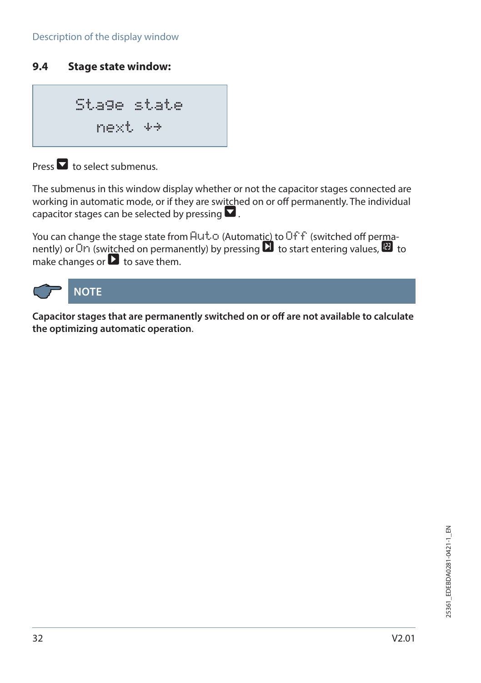## **9.4 Stage state window:**

Stage state next

Press  $\blacksquare$  to select submenus.

The submenus in this window display whether or not the capacitor stages connected are working in automatic mode, or if they are switched on or off permanently. The individual capacitor stages can be selected by pressing  $\blacksquare$ .

You can change the stage state from  $\overline{H}$ uto (Automatic) to  $\overline{H}$ f (switched off permanently) or  $\overline{O}$  (switched on permanently) by pressing  $\overline{O}$  to start entering values,  $\overline{O}$  to make changes or  $\blacksquare$  to save them.



**Capacitor stages that are permanently switched on or off are not available to calculate the optimizing automatic operation**.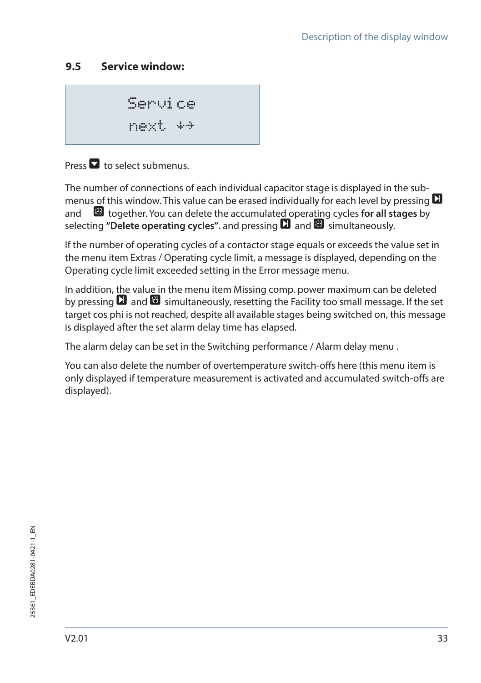## **9.5 Service window:**

Service next

#### Press  $\blacksquare$  to select submenus.

The number of connections of each individual capacitor stage is displayed in the submenus of this window. This value can be erased individually for each level by pressing  $\Box$ and together. You can delete the accumulated operating cycles **for all stages** by selecting "Delete operating cycles". and pressing **D** and **E** simultaneously.

If the number of operating cycles of a contactor stage equals or exceeds the value set in the menu item Extras / Operating cycle limit, a message is displayed, depending on the Operating cycle limit exceeded setting in the Error message menu.

In addition, the value in the menu item Missing comp. power maximum can be deleted by pressing  $\Box$  and  $\Box$  simultaneously, resetting the Facility too small message. If the set target cos phi is not reached, despite all available stages being switched on, this message is displayed after the set alarm delay time has elapsed.

The alarm delay can be set in the Switching performance / Alarm delay menu .

You can also delete the number of overtemperature switch-offs here (this menu item is only displayed if temperature measurement is activated and accumulated switch-offs are displayed).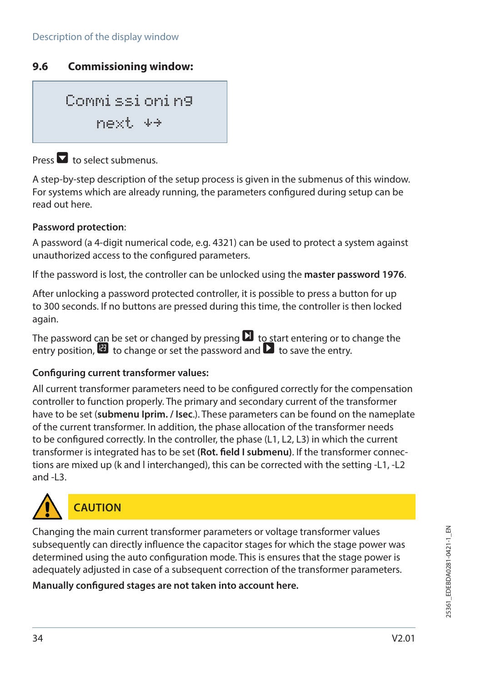#### **9.6 Commissioning window:**

Commissioning next

Press  $\blacksquare$  to select submenus.

A step-by-step description of the setup process is given in the submenus of this window. For systems which are already running, the parameters configured during setup can be read out here.

#### **Password protection**:

A password (a 4-digit numerical code, e.g. 4321) can be used to protect a system against unauthorized access to the configured parameters.

If the password is lost, the controller can be unlocked using the **master password 1976**.

After unlocking a password protected controller, it is possible to press a button for up to 300 seconds. If no buttons are pressed during this time, the controller is then locked again.

The password can be set or changed by pressing  $\Box$  to start entering or to change the entry position,  $\mathbf{w}$  to change or set the password and  $\mathbf{\Sigma}$  to save the entry.

#### **Configuring current transformer values:**

All current transformer parameters need to be configured correctly for the compensation controller to function properly. The primary and secondary current of the transformer have to be set (**submenu Iprim. / Isec**.). These parameters can be found on the nameplate of the current transformer. In addition, the phase allocation of the transformer needs to be configured correctly. In the controller, the phase (L1, L2, L3) in which the current transformer is integrated has to be set **(Rot. field I submenu)**. If the transformer connections are mixed up (k and l interchanged), this can be corrected with the setting -L1, -L2 and -L3.



# **CAUTION**

Changing the main current transformer parameters or voltage transformer values subsequently can directly influence the capacitor stages for which the stage power was determined using the auto configuration mode. This is ensures that the stage power is adequately adjusted in case of a subsequent correction of the transformer parameters.

**Manually configured stages are not taken into account here.**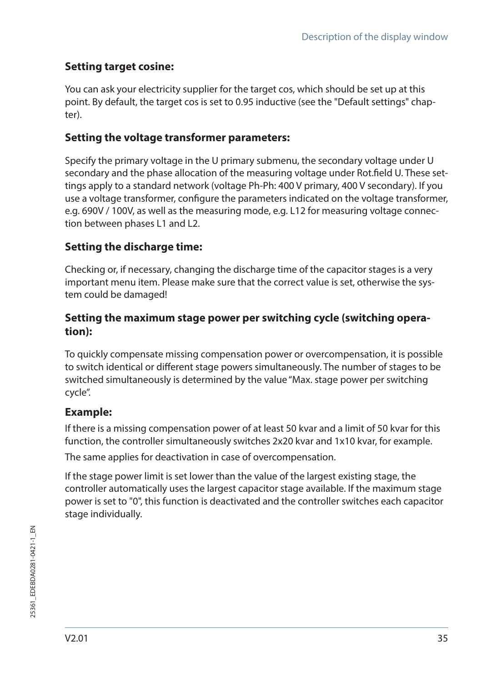## **Setting target cosine:**

You can ask your electricity supplier for the target cos, which should be set up at this point. By default, the target cos is set to 0.95 inductive (see the "Default settings" chapter).

#### **Setting the voltage transformer parameters:**

Specify the primary voltage in the U primary submenu, the secondary voltage under U secondary and the phase allocation of the measuring voltage under Rot.field U. These settings apply to a standard network (voltage Ph-Ph: 400 V primary, 400 V secondary). If you use a voltage transformer, configure the parameters indicated on the voltage transformer, e.g. 690V / 100V, as well as the measuring mode, e.g. L12 for measuring voltage connection between phases L1 and L2.

#### **Setting the discharge time:**

Checking or, if necessary, changing the discharge time of the capacitor stages is a very important menu item. Please make sure that the correct value is set, otherwise the system could be damaged!

#### **Setting the maximum stage power per switching cycle (switching operation):**

To quickly compensate missing compensation power or overcompensation, it is possible to switch identical or different stage powers simultaneously. The number of stages to be switched simultaneously is determined by the value "Max. stage power per switching cycle".

## **Example:**

If there is a missing compensation power of at least 50 kvar and a limit of 50 kvar for this function, the controller simultaneously switches 2x20 kvar and 1x10 kvar, for example.

The same applies for deactivation in case of overcompensation.

If the stage power limit is set lower than the value of the largest existing stage, the controller automatically uses the largest capacitor stage available. If the maximum stage power is set to "0", this function is deactivated and the controller switches each capacitor stage individually.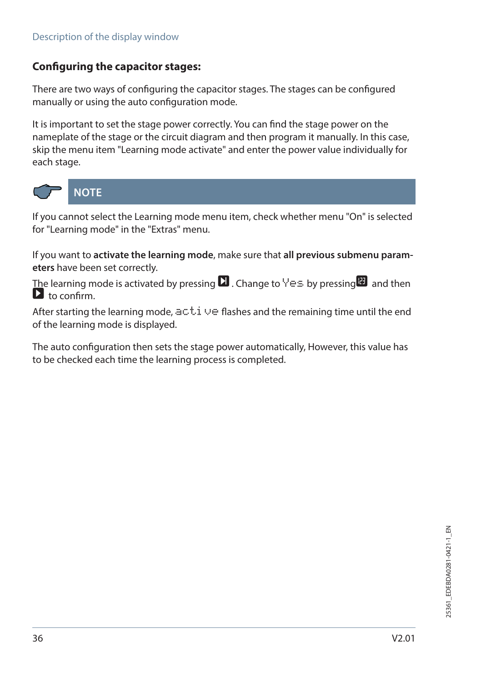#### **Configuring the capacitor stages:**

There are two ways of configuring the capacitor stages. The stages can be configured manually or using the auto configuration mode.

It is important to set the stage power correctly. You can find the stage power on the nameplate of the stage or the circuit diagram and then program it manually. In this case, skip the menu item "Learning mode activate" and enter the power value individually for each stage.



## **NOTE**

If you cannot select the Learning mode menu item, check whether menu "On" is selected for "Learning mode" in the "Extras" menu.

If you want to **activate the learning mode**, make sure that **all previous submenu parameters** have been set correctly.

The learning mode is activated by pressing  $\Box$  Change to  $\forall \in S$  by pressing  $\Box$  and then  $\mathbf{\Sigma}$  to confirm.

After starting the learning mode,  $\exists c.t.$   $\cup \in$  flashes and the remaining time until the end of the learning mode is displayed.

The auto configuration then sets the stage power automatically, However, this value has to be checked each time the learning process is completed.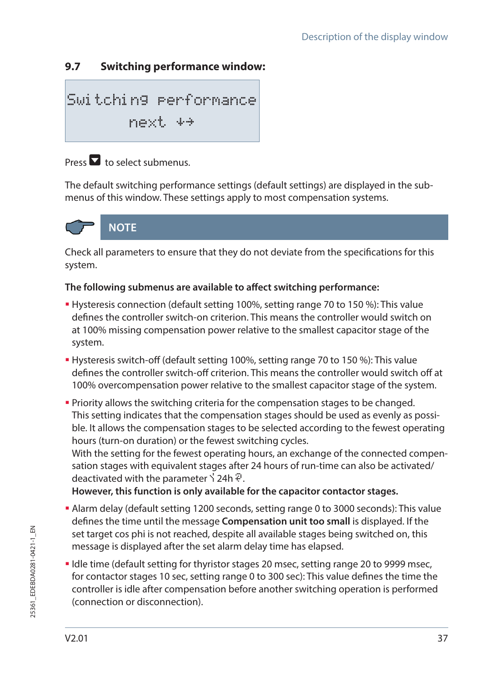## **9.7 Switching performance window:**

$$
\begin{array}{lcl} \text{Swi tchin9} & \text{performance} \\ & \text{next} & \rightarrow \end{array}
$$

## $Procs$  to select submenus.

The default switching performance settings (default settings) are displayed in the submenus of this window. These settings apply to most compensation systems.



Check all parameters to ensure that they do not deviate from the specifications for this system.

#### **The following submenus are available to affect switching performance:**

- Hysteresis connection (default setting 100%, setting range 70 to 150 %): This value defines the controller switch-on criterion. This means the controller would switch on at 100% missing compensation power relative to the smallest capacitor stage of the system.
- Hysteresis switch-off (default setting 100%, setting range 70 to 150 %): This value defines the controller switch-off criterion. This means the controller would switch off at 100% overcompensation power relative to the smallest capacitor stage of the system.
- **Priority allows the switching criteria for the compensation stages to be changed.** This setting indicates that the compensation stages should be used as evenly as possible. It allows the compensation stages to be selected according to the fewest operating hours (turn-on duration) or the fewest switching cycles. With the setting for the fewest operating hours, an exchange of the connected compensation stages with equivalent stages after 24 hours of run-time can also be activated/ deactivated with the parameter  $\frac{1}{2}$  24h  $\frac{5}{3}$ .

**However, this function is only available for the capacitor contactor stages.**

- Alarm delay (default setting 1200 seconds, setting range 0 to 3000 seconds): This value defines the time until the message **Compensation unit too small** is displayed. If the set target cos phi is not reached, despite all available stages being switched on, this message is displayed after the set alarm delay time has elapsed.
- Idle time (default setting for thyristor stages 20 msec, setting range 20 to 9999 msec, for contactor stages 10 sec, setting range 0 to 300 sec): This value defines the time the controller is idle after compensation before another switching operation is performed (connection or disconnection).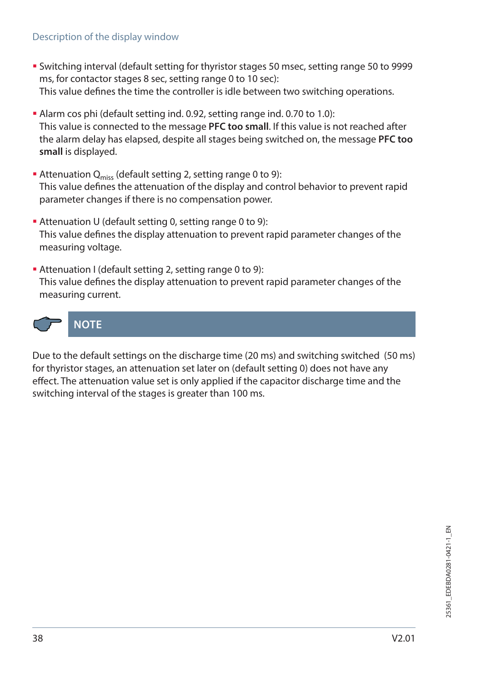#### Description of the display window

- Switching interval (default setting for thyristor stages 50 msec, setting range 50 to 9999 ms, for contactor stages 8 sec, setting range 0 to 10 sec): This value defines the time the controller is idle between two switching operations.
- Alarm cos phi (default setting ind. 0.92, setting range ind. 0.70 to 1.0): This value is connected to the message **PFC too small**. If this value is not reached after the alarm delay has elapsed, despite all stages being switched on, the message **PFC too small** is displayed.
- Attenuation  $Q<sub>misc</sub>$  (default setting 2, setting range 0 to 9): This value defines the attenuation of the display and control behavior to prevent rapid parameter changes if there is no compensation power.
- Attenuation U (default setting 0, setting range 0 to 9): This value defines the display attenuation to prevent rapid parameter changes of the measuring voltage.
- Attenuation I (default setting 2, setting range 0 to 9): This value defines the display attenuation to prevent rapid parameter changes of the measuring current.



**NOTE**

Due to the default settings on the discharge time (20 ms) and switching switched (50 ms) for thyristor stages, an attenuation set later on (default setting 0) does not have any effect. The attenuation value set is only applied if the capacitor discharge time and the switching interval of the stages is greater than 100 ms.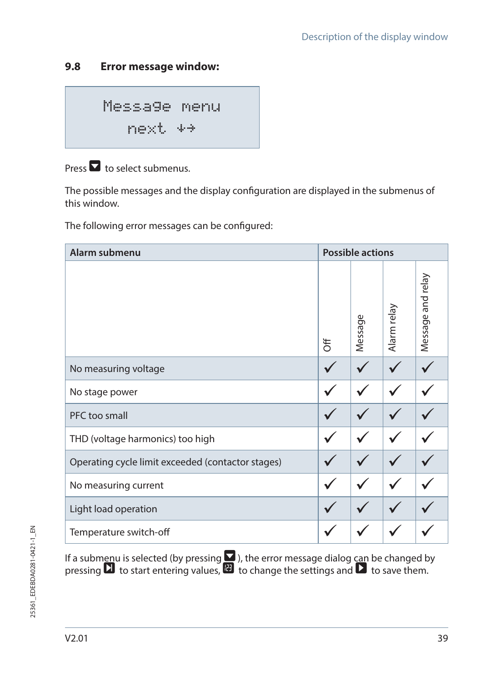## **9.8 Error message window:**

$$
\begin{array}{l} \texttt{Message menu} \\ \texttt{next} \leftrightarrow \end{array}
$$

Press  $\blacksquare$  to select submenus.

The possible messages and the display configuration are displayed in the submenus of this window.

The following error messages can be configured:

| Alarm submenu                                     |   | <b>Possible actions</b> |             |                   |
|---------------------------------------------------|---|-------------------------|-------------|-------------------|
|                                                   | ₹ | Φ<br>Messag             | Alarm relay | Message and relay |
| No measuring voltage                              |   |                         |             |                   |
| No stage power                                    |   |                         |             |                   |
| PFC too small                                     |   |                         |             |                   |
| THD (voltage harmonics) too high                  |   |                         |             |                   |
| Operating cycle limit exceeded (contactor stages) |   |                         |             |                   |
| No measuring current                              |   |                         |             |                   |
| Light load operation                              |   |                         |             |                   |
| Temperature switch-off                            |   |                         |             |                   |

If a submenu is selected (by pressing  $\blacksquare$  ), the error message dialog can be changed by pressing  $\Box$  to start entering values,  $\Box$  to change the settings and  $\Box$  to save them.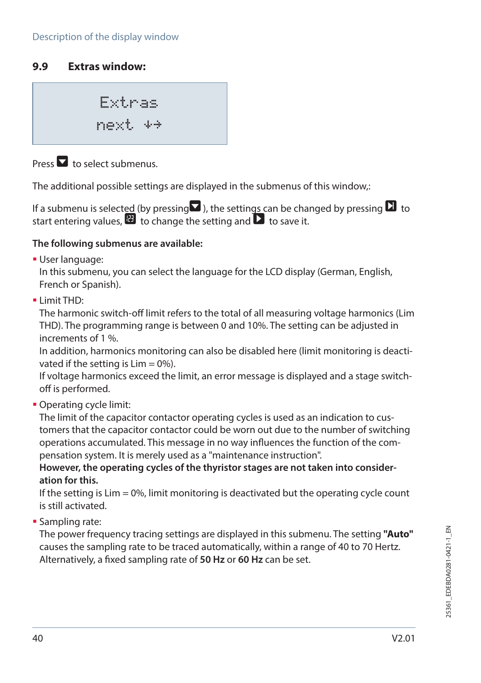#### **9.9 Extras window:**

Extras next

Press  $\blacksquare$  to select submenus.

The additional possible settings are displayed in the submenus of this window,:

If a submenu is selected (by pressing  $\blacksquare$ ), the settings can be changed by pressing  $\blacksquare$  to start entering values,  $\mathbf{E}$  to change the setting and  $\mathbf{\Sigma}$  to save it.

#### **The following submenus are available:**

User language:

In this submenu, you can select the language for the LCD display (German, English, French or Spanish).

 $\blacksquare$  Limit THD:

The harmonic switch-off limit refers to the total of all measuring voltage harmonics (Lim THD). The programming range is between 0 and 10%. The setting can be adjusted in increments of 1 %.

In addition, harmonics monitoring can also be disabled here (limit monitoring is deactivated if the setting is  $Lim = 0\%$ ).

If voltage harmonics exceed the limit, an error message is displayed and a stage switchoff is performed.

Operating cycle limit:

The limit of the capacitor contactor operating cycles is used as an indication to customers that the capacitor contactor could be worn out due to the number of switching operations accumulated. This message in no way influences the function of the compensation system. It is merely used as a "maintenance instruction".

**However, the operating cycles of the thyristor stages are not taken into consideration for this.** 

If the setting is  $Lim = 0\%$ , limit monitoring is deactivated but the operating cycle count is still activated.

**Sampling rate:** 

The power frequency tracing settings are displayed in this submenu. The setting **"Auto"** causes the sampling rate to be traced automatically, within a range of 40 to 70 Hertz. Alternatively, a fixed sampling rate of **50 Hz** or **60 Hz** can be set.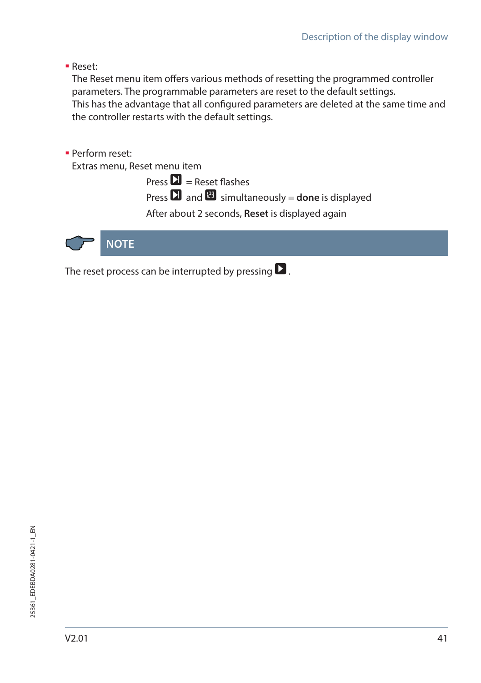Reset:

The Reset menu item offers various methods of resetting the programmed controller parameters. The programmable parameters are reset to the default settings. This has the advantage that all configured parameters are deleted at the same time and the controller restarts with the default settings.

#### Perform reset:

Extras menu, Reset menu item

 $\Pr$ ess  $\Omega$  = Reset flashes

Press  $\sum$  and  $\sum$  simultaneously = **done** is displayed

After about 2 seconds, **Reset** is displayed again



The reset process can be interrupted by pressing  $\blacksquare$ .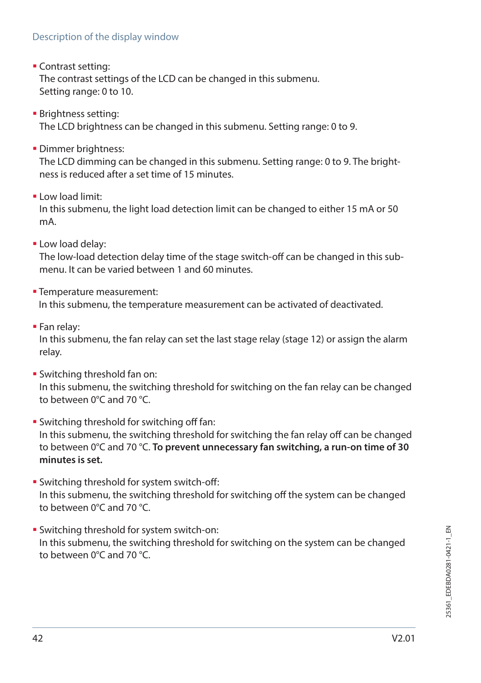#### Description of the display window

Contrast setting:

The contrast settings of the LCD can be changed in this submenu. Setting range: 0 to 10.

- **Brightness setting:** The LCD brightness can be changed in this submenu. Setting range: 0 to 9.
- **Dimmer brightness:**

The LCD dimming can be changed in this submenu. Setting range: 0 to 9. The brightness is reduced after a set time of 15 minutes.

 $\blacksquare$  Low load limit:

In this submenu, the light load detection limit can be changed to either 15 mA or 50 mA.

**-Low load delay:** 

The low-load detection delay time of the stage switch-off can be changed in this submenu. It can be varied between 1 and 60 minutes

- **Temperature measurement:** In this submenu, the temperature measurement can be activated of deactivated.
- **Fan relay:**

In this submenu, the fan relay can set the last stage relay (stage 12) or assign the alarm relay.

Switching threshold fan on:

In this submenu, the switching threshold for switching on the fan relay can be changed to between 0°C and 70 °C.

- **Switching threshold for switching off fan:** In this submenu, the switching threshold for switching the fan relay off can be changed to between 0°C and 70 °C. **To prevent unnecessary fan switching, a run-on time of 30 minutes is set.**
- Switching threshold for system switch-off: In this submenu, the switching threshold for switching off the system can be changed to between 0°C and 70 °C.
- Switching threshold for system switch-on: In this submenu, the switching threshold for switching on the system can be changed to between 0°C and 70 °C.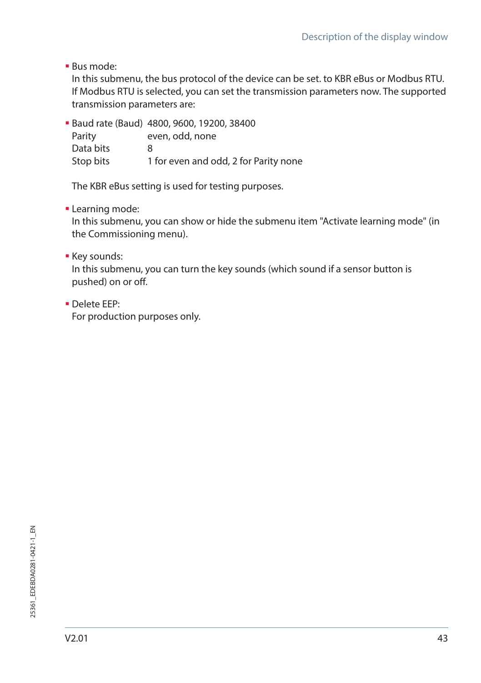Bus mode:

In this submenu, the bus protocol of the device can be set. to KBR eBus or Modbus RTU. If Modbus RTU is selected, you can set the transmission parameters now. The supported transmission parameters are:

 Baud rate (Baud) 4800, 9600, 19200, 38400 Parity even, odd, none Data bits 8 Stop bits 1 for even and odd, 2 for Parity none

The KBR eBus setting is used for testing purposes.

**Learning mode:** 

In this submenu, you can show or hide the submenu item "Activate learning mode" (in the Commissioning menu).

**Key sounds:** 

In this submenu, you can turn the key sounds (which sound if a sensor button is pushed) on or off.

Delete EEP: For production purposes only.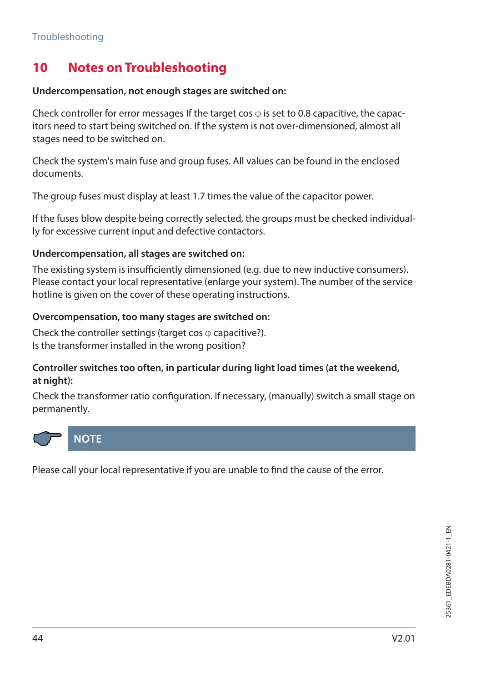# **10 Notes on Troubleshooting**

#### **Undercompensation, not enough stages are switched on:**

Check controller for error messages If the target cos  $\varphi$  is set to 0.8 capacitive, the capacitors need to start being switched on. If the system is not over-dimensioned, almost all stages need to be switched on.

Check the system's main fuse and group fuses. All values can be found in the enclosed documents.

The group fuses must display at least 1.7 times the value of the capacitor power.

If the fuses blow despite being correctly selected, the groups must be checked individually for excessive current input and defective contactors.

#### **Undercompensation, all stages are switched on:**

The existing system is insufficiently dimensioned (e.g. due to new inductive consumers). Please contact your local representative (enlarge your system). The number of the service hotline is given on the cover of these operating instructions.

#### **Overcompensation, too many stages are switched on:**

Check the controller settings (target cos  $\varphi$  capacitive?). Is the transformer installed in the wrong position?

#### **Controller switches too often, in particular during light load times (at the weekend, at night):**

Check the transformer ratio configuration. If necessary, (manually) switch a small stage on permanently.



Please call your local representative if you are unable to find the cause of the error.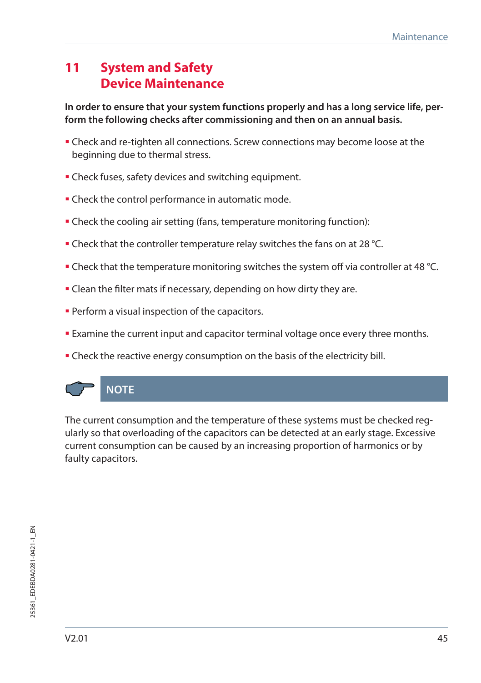# **11 System and Safety Device Maintenance**

**In order to ensure that your system functions properly and has a long service life, perform the following checks after commissioning and then on an annual basis.**

- Check and re-tighten all connections. Screw connections may become loose at the beginning due to thermal stress.
- **Check fuses, safety devices and switching equipment.**
- **-** Check the control performance in automatic mode.
- Check the cooling air setting (fans, temperature monitoring function):
- **Check that the controller temperature relay switches the fans on at 28 °C.**
- Check that the temperature monitoring switches the system off via controller at 48 °C.
- **Clean the filter mats if necessary, depending on how dirty they are.**
- **Perform a visual inspection of the capacitors.**
- Examine the current input and capacitor terminal voltage once every three months.
- **Check the reactive energy consumption on the basis of the electricity bill.**



The current consumption and the temperature of these systems must be checked regularly so that overloading of the capacitors can be detected at an early stage. Excessive current consumption can be caused by an increasing proportion of harmonics or by faulty capacitors.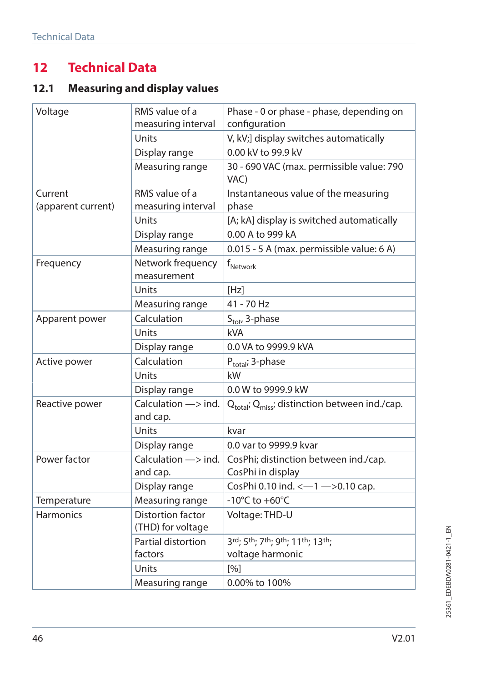# **12 Technical Data**

## **12.1 Measuring and display values**

| Voltage                       | RMS value of a<br>measuring interval           | Phase - 0 or phase - phase, depending on<br>configuration              |
|-------------------------------|------------------------------------------------|------------------------------------------------------------------------|
|                               | Units                                          | V, kV;] display switches automatically                                 |
|                               | Display range                                  | 0.00 kV to 99.9 kV                                                     |
|                               | Measuring range                                | 30 - 690 VAC (max. permissible value: 790<br>VAC)                      |
| Current<br>(apparent current) | RMS value of a<br>measuring interval           | Instantaneous value of the measuring<br>phase                          |
|                               | Units                                          | [A; kA] display is switched automatically                              |
|                               | Display range                                  | 0.00 A to 999 kA                                                       |
|                               | Measuring range                                | 0.015 - 5 A (max. permissible value: 6 A)                              |
| Frequency                     | Network frequency<br>measurement               | f <sub>Network</sub>                                                   |
|                               | Units                                          | [Hz]                                                                   |
|                               | Measuring range                                | 41 - 70 Hz                                                             |
| Apparent power                | Calculation                                    | S <sub>tot</sub> , 3-phase                                             |
|                               | Units                                          | kVA                                                                    |
|                               | Display range                                  | 0.0 VA to 9999.9 kVA                                                   |
| Active power                  | Calculation                                    | $P_{total}$ ; 3-phase                                                  |
|                               | Units                                          | kW                                                                     |
|                               | Display range                                  | 0.0 W to 9999.9 kW                                                     |
| Reactive power                | Calculation $\Longrightarrow$ ind.<br>and cap. | Q <sub>total</sub> ; Q <sub>miss</sub> ; distinction between ind./cap. |
|                               | Units                                          | kvar                                                                   |
|                               | Display range                                  | 0.0 var to 9999.9 kvar                                                 |
| Power factor                  | Calculation $\Longrightarrow$ ind.<br>and cap. | CosPhi; distinction between ind./cap.<br>CosPhi in display             |
|                               | Display range                                  | CosPhi 0.10 ind. <- 1 -> 0.10 cap.                                     |
| Temperature                   | Measuring range                                | -10 $^{\circ}$ C to +60 $^{\circ}$ C                                   |
| <b>Harmonics</b>              | Distortion factor<br>(THD) for voltage         | Voltage: THD-U                                                         |
|                               | Partial distortion                             | 3rd; 5th; 7th; 9th; 11th; 13th;                                        |
|                               | factors                                        | voltage harmonic                                                       |
|                               | Units                                          | [%]                                                                    |
|                               | Measuring range                                | 0.00% to 100%                                                          |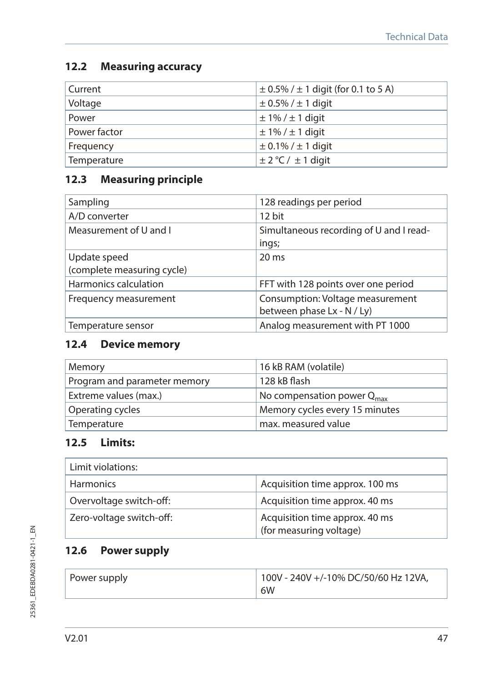## **12.2 Measuring accuracy**

| Current      | $\pm$ 0.5% / $\pm$ 1 digit (for 0.1 to 5 A) |
|--------------|---------------------------------------------|
| Voltage      | $\pm$ 0.5% / $\pm$ 1 digit                  |
| Power        | $\pm$ 1% / $\pm$ 1 digit                    |
| Power factor | $\pm$ 1% / $\pm$ 1 digit                    |
| Frequency    | $\pm$ 0.1% / $\pm$ 1 digit                  |
| Temperature  | $\pm$ 2 °C / $\pm$ 1 digit                  |

## **12.3 Measuring principle**

| Sampling                                   | 128 readings per period                                        |
|--------------------------------------------|----------------------------------------------------------------|
| A/D converter                              | 12 bit                                                         |
| Measurement of U and I                     | Simultaneous recording of U and I read-<br>ings;               |
| Update speed<br>(complete measuring cycle) | $20 \text{ ms}$                                                |
| Harmonics calculation                      | FFT with 128 points over one period                            |
| Frequency measurement                      | Consumption: Voltage measurement<br>between phase Lx - N / Ly) |
| Temperature sensor                         | Analog measurement with PT 1000                                |

## **12.4 Device memory**

| Memory                       | 16 kB RAM (volatile)                   |
|------------------------------|----------------------------------------|
| Program and parameter memory | 128 kB flash                           |
| Extreme values (max.)        | No compensation power Q <sub>max</sub> |
| Operating cycles             | Memory cycles every 15 minutes         |
| Temperature                  | max. measured value                    |

## **12.5 Limits:**

| Limit violations:        |                                                           |  |
|--------------------------|-----------------------------------------------------------|--|
| <b>Harmonics</b>         | Acquisition time approx. 100 ms                           |  |
| Overvoltage switch-off:  | Acquisition time approx. 40 ms                            |  |
| Zero-voltage switch-off: | Acquisition time approx. 40 ms<br>(for measuring voltage) |  |

## **12.6 Power supply**

| Power supply | 100V - 240V +/-10% DC/50/60 Hz 12VA, |
|--------------|--------------------------------------|
|              | 6W                                   |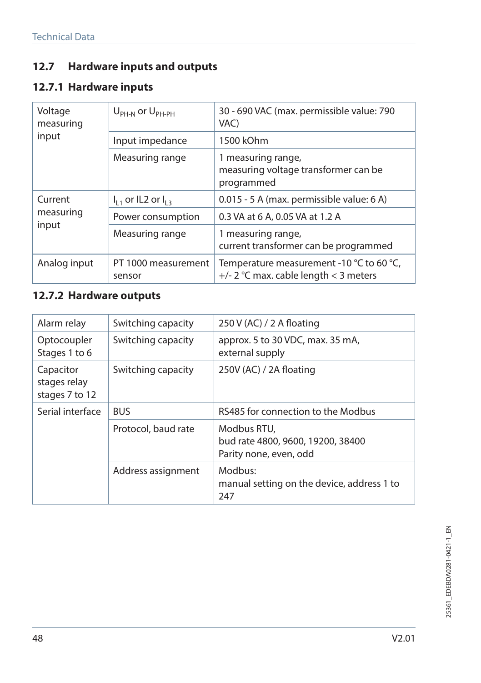## **12.7 Hardware inputs and outputs**

# **12.7.1 Hardware inputs**

| Voltage<br>measuring | $U_{\rm PH-N}$ or $U_{\rm PH-PH}$ | 30 - 690 VAC (max. permissible value: 790<br>VAC)                                   |
|----------------------|-----------------------------------|-------------------------------------------------------------------------------------|
| input                | Input impedance                   | 1500 kOhm                                                                           |
|                      | Measuring range                   | 1 measuring range,<br>measuring voltage transformer can be<br>programmed            |
| Current              | $I_{11}$ or IL2 or $I_{12}$       | 0.015 - 5 A (max. permissible value: 6 A)                                           |
| measuring            | Power consumption                 | 0.3 VA at 6 A, 0.05 VA at 1.2 A                                                     |
| input                | Measuring range                   | 1 measuring range,<br>current transformer can be programmed                         |
| Analog input         | PT 1000 measurement<br>sensor     | Temperature measurement -10 °C to 60 °C,<br>$+/-$ 2 °C max. cable length < 3 meters |

## **12.7.2 Hardware outputs**

| Alarm relay                                 | Switching capacity  | 250 V (AC) / 2 A floating                                                  |
|---------------------------------------------|---------------------|----------------------------------------------------------------------------|
| Optocoupler<br>Stages 1 to 6                | Switching capacity  | approx. 5 to 30 VDC, max. 35 mA,<br>external supply                        |
| Capacitor<br>stages relay<br>stages 7 to 12 | Switching capacity  | 250V (AC) / 2A floating                                                    |
| Serial interface                            | <b>BUS</b>          | RS485 for connection to the Modbus                                         |
|                                             | Protocol, baud rate | Modbus RTU,<br>bud rate 4800, 9600, 19200, 38400<br>Parity none, even, odd |
|                                             | Address assignment  | Modbus:<br>manual setting on the device, address 1 to<br>247               |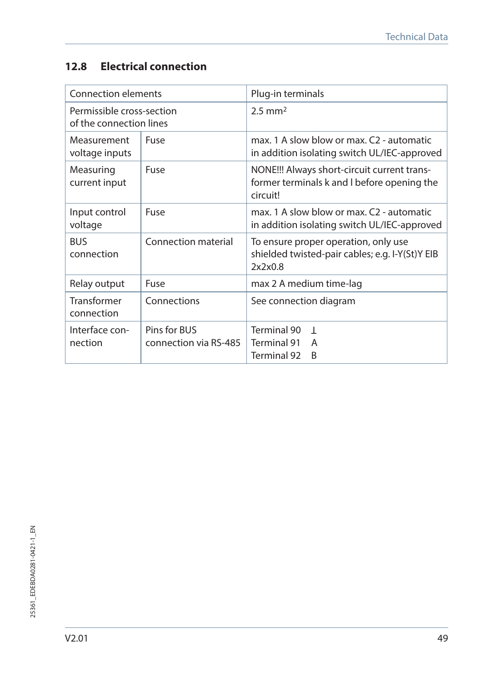## **12.8 Electrical connection**

| Connection elements                                  |                                       | Plug-in terminals                                                                                      |
|------------------------------------------------------|---------------------------------------|--------------------------------------------------------------------------------------------------------|
| Permissible cross-section<br>of the connection lines |                                       | $2.5$ mm <sup>2</sup>                                                                                  |
| Measurement<br>voltage inputs                        | Fuse                                  | max. 1 A slow blow or max. C2 - automatic<br>in addition isolating switch UL/IEC-approved              |
| Measuring<br>current input                           | Fuse                                  | NONE!!! Always short-circuit current trans-<br>former terminals k and I before opening the<br>circuit! |
| Input control<br>voltage                             | Fuse                                  | max. 1 A slow blow or max. C2 - automatic<br>in addition isolating switch UL/IEC-approved              |
| <b>BUS</b><br>connection                             | Connection material                   | To ensure proper operation, only use<br>shielded twisted-pair cables; e.g. I-Y(St)Y EIB<br>2x2x0.8     |
| Relay output                                         | Fuse                                  | max 2 A medium time-lag                                                                                |
| Transformer<br>connection                            | Connections                           | See connection diagram                                                                                 |
| Interface con-<br>nection                            | Pins for BUS<br>connection via RS-485 | Terminal 90<br>$\overline{1}$<br>Terminal 91<br>A<br>Terminal 92<br>B                                  |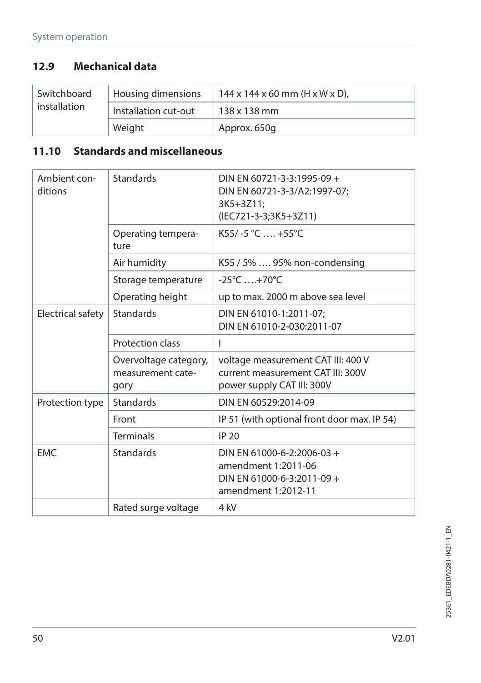# **12.9 Mechanical data**

| Switchboard  | Housing dimensions   | $144 \times 144 \times 60$ mm (H x W x D), |
|--------------|----------------------|--------------------------------------------|
| installation | Installation cut-out | 138 x 138 mm                               |
|              | Weight               | Approx. 650q                               |

## **11.10 Standards and miscellaneous**

| Ambient con-<br>ditions | <b>Standards</b>                                   | DIN EN 60721-3-3:1995-09 +<br>DIN EN 60721-3-3/A2:1997-07;<br>3K5+3Z11:<br>(IEC721-3-3;3K5+3Z11)       |
|-------------------------|----------------------------------------------------|--------------------------------------------------------------------------------------------------------|
|                         | Operating tempera-<br>ture                         | $K55/-5 °C$ , +55°C                                                                                    |
|                         | Air humidity                                       | K55 / 5%  95% non-condensing                                                                           |
|                         | Storage temperature                                | $-25^{\circ}$ C  +70 $^{\circ}$ C                                                                      |
|                         | Operating height                                   | up to max. 2000 m above sea level                                                                      |
| Electrical safety       | <b>Standards</b>                                   | DIN EN 61010-1:2011-07;<br>DIN EN 61010-2-030:2011-07                                                  |
|                         | Protection class                                   | ı                                                                                                      |
|                         | Overvoltage category,<br>measurement cate-<br>gory | voltage measurement CAT III: 400 V<br>current measurement CAT III: 300V<br>power supply CAT III: 300V  |
| Protection type         | <b>Standards</b>                                   | DIN EN 60529:2014-09                                                                                   |
|                         | Front                                              | IP 51 (with optional front door max. IP 54)                                                            |
|                         | <b>Terminals</b>                                   | <b>IP 20</b>                                                                                           |
| <b>EMC</b>              | <b>Standards</b>                                   | DIN EN 61000-6-2:2006-03 +<br>amendment 1:2011-06<br>DIN EN 61000-6-3:2011-09 +<br>amendment 1:2012-11 |
|                         | Rated surge voltage                                | 4 kV                                                                                                   |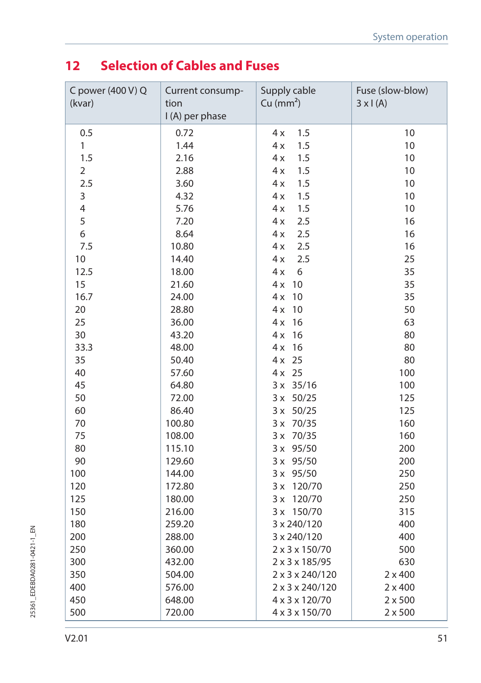# **12 Selection of Cables and Fuses**

| C power (400 V) Q<br>(kvar) | Current consump-<br>tion<br>I (A) per phase | Supply cable<br>Cu (mm <sup>2</sup> ) | Fuse (slow-blow)<br>$3 \times 1(A)$ |
|-----------------------------|---------------------------------------------|---------------------------------------|-------------------------------------|
| 0.5                         | 0.72                                        | 1.5<br>4x                             | 10                                  |
| 1                           | 1.44                                        | 4x<br>1.5                             | 10                                  |
| 1.5                         | 2.16                                        | 1.5<br>4 x                            | 10                                  |
| $\overline{2}$              | 2.88                                        | 1.5<br>4x                             | $10$                                |
| 2.5                         | 3.60                                        | 1.5<br>4x                             | 10                                  |
| 3                           | 4.32                                        | 1.5<br>4 x                            | $10$                                |
| $\overline{4}$              | 5.76                                        | 1.5<br>4 x                            | $10$                                |
| 5                           | 7.20                                        | 2.5<br>4x                             | 16                                  |
| 6                           | 8.64                                        | 2.5<br>4x                             | 16                                  |
| 7.5                         | 10.80                                       | 2.5<br>4x                             | 16                                  |
| 10                          | 14.40                                       | 2.5<br>4 x                            | 25                                  |
| 12.5                        | 18.00                                       | 6<br>4x                               | 35                                  |
| 15                          | 21.60                                       | 4 x<br>10                             | 35                                  |
| 16.7                        | 24.00                                       | 10<br>4x                              | 35                                  |
| 20                          | 28.80                                       | 10<br>4 x                             | 50                                  |
| 25                          | 36.00                                       | 4x<br>16                              | 63                                  |
| 30                          | 43.20                                       | 4x<br>16                              | 80                                  |
| 33.3                        | 48.00                                       | 16<br>4 x                             | 80                                  |
| 35                          | 50.40                                       | $4x$ 25                               | 80                                  |
| 40                          | 57.60                                       | $4x$ 25                               | 100                                 |
| 45                          | 64.80                                       | 3 x 35/16                             | 100                                 |
| 50                          | 72.00                                       | 3 x 50/25                             | 125                                 |
| 60                          | 86.40                                       | $3 \times 50/25$                      | 125                                 |
| 70                          | 100.80                                      | 3 x 70/35                             | 160                                 |
| 75                          | 108.00                                      | 3 x 70/35                             | 160                                 |
| 80                          | 115.10                                      | 3 x 95/50                             | 200                                 |
| 90                          | 129.60                                      | 3 x 95/50                             | 200                                 |
| 100                         | 144.00                                      | 3 x 95/50                             | 250                                 |
| 120                         | 172.80                                      | 3 x 120/70                            | 250                                 |
| 125                         | 180.00                                      | 3 x 120/70                            | 250                                 |
| 150                         | 216.00                                      | 3 x 150/70                            | 315                                 |
| 180                         | 259.20                                      | 3 x 240/120                           | 400                                 |
| 200                         | 288.00                                      | 3 x 240/120                           | 400                                 |
| 250                         | 360.00                                      | 2 x 3 x 150/70                        | 500                                 |
| 300                         | 432.00                                      | 2 x 3 x 185/95                        | 630                                 |
| 350                         | 504.00                                      | 2 x 3 x 240/120                       | $2 \times 400$                      |
| 400                         | 576.00                                      | 2 x 3 x 240/120                       | $2 \times 400$                      |
| 450                         | 648.00                                      | 4 x 3 x 120/70                        | $2 \times 500$                      |
| 500                         | 720.00                                      | 4 x 3 x 150/70                        | $2 \times 500$                      |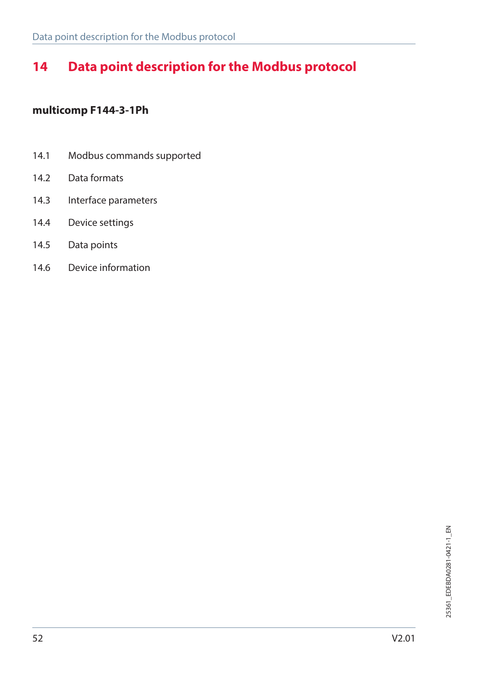# **14 Data point description for the Modbus protocol**

#### **multicomp F144-3-1Ph**

- 14.1 Modbus commands supported
- 14.2 Data formats
- 14.3 Interface parameters
- 14.4 Device settings
- 14.5 Data points
- 14.6 Device information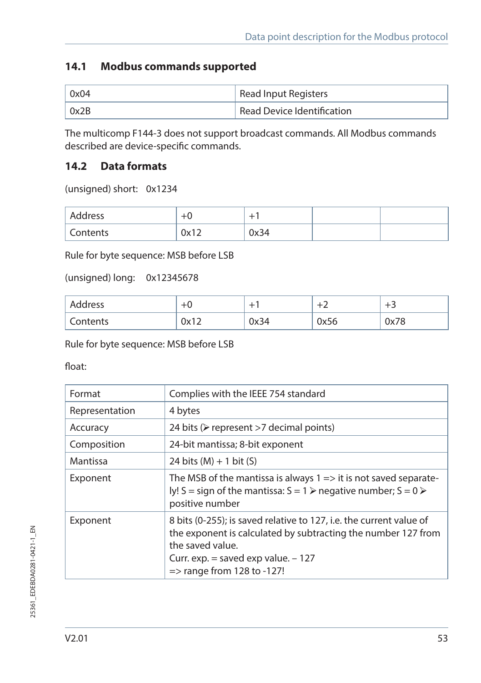## **14.1 Modbus commands supported**

| 0x04 | Read Input Registers                    |
|------|-----------------------------------------|
| 0x2B | <sup>1</sup> Read Device Identification |

The multicomp F144-3 does not support broadcast commands. All Modbus commands described are device-specific commands.

## **14.2 Data formats**

(unsigned) short: 0x1234

| Address  |                             | ÷    |  |
|----------|-----------------------------|------|--|
| Contents | 0 <sub>v</sub> 12<br>UA I Z | 0x34 |  |

Rule for byte sequence: MSB before LSB

(unsigned) long: 0x12345678

| Address  | $+U$            | -    | -    | -    |
|----------|-----------------|------|------|------|
| Contents | ∩∨1 ว<br>UA I Z | 0x34 | 0x56 | 0x78 |

Rule for byte sequence: MSB before LSB

float:

| Format         | Complies with the IEEE 754 standard                                                                                                                                                                                                         |  |
|----------------|---------------------------------------------------------------------------------------------------------------------------------------------------------------------------------------------------------------------------------------------|--|
| Representation | 4 bytes                                                                                                                                                                                                                                     |  |
| Accuracy       | 24 bits ( $\triangleright$ represent >7 decimal points)                                                                                                                                                                                     |  |
| Composition    | 24-bit mantissa; 8-bit exponent                                                                                                                                                                                                             |  |
| Mantissa       | 24 bits $(M) + 1$ bit $(S)$                                                                                                                                                                                                                 |  |
| Exponent       | The MSB of the mantissa is always $1 \Rightarrow$ it is not saved separate-<br>ly! S = sign of the mantissa: $S = 1$ > negative number; $S = 0$ ><br>positive number                                                                        |  |
| Exponent       | 8 bits (0-255); is saved relative to 127, i.e. the current value of<br>the exponent is calculated by subtracting the number 127 from<br>the saved value.<br>Curr. exp. $=$ saved exp value. $-127$<br>$\Rightarrow$ range from 128 to -127! |  |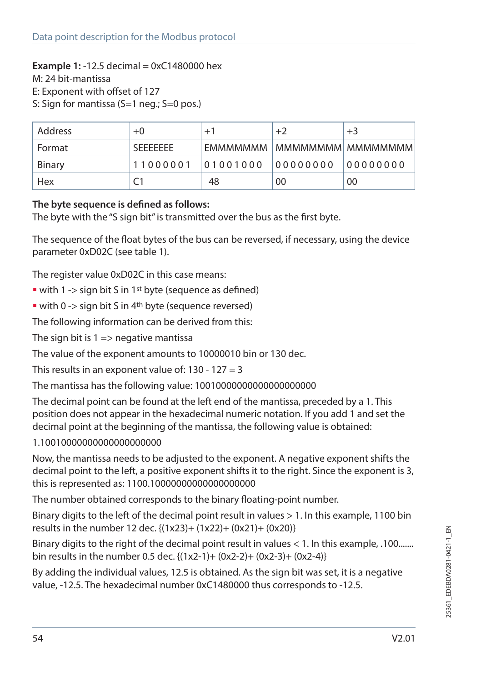#### **Example 1:** -12.5 decimal = 0xC1480000 hex

M: 24 bit-mantissa

E: Exponent with offset of 127

S: Sign for mantissa (S=1 neg.; S=0 pos.)

| Address | $+0$             | $+1$     | $+2$              | $+3$     |
|---------|------------------|----------|-------------------|----------|
| Format  | <b>SFFFFFFFF</b> | EMMMMMMM | MMMMMMMM MMMMMMMM |          |
| Binary  | 11000001         | 01001000 | 00000000          | 00000000 |
| Hex     |                  | 48       | 00                | 00       |

#### **The byte sequence is defined as follows:**

The byte with the "S sign bit" is transmitted over the bus as the first byte.

The sequence of the float bytes of the bus can be reversed, if necessary, using the device parameter 0xD02C (see table 1).

The register value 0xD02C in this case means:

- with 1 -> sign bit S in 1<sup>st</sup> byte (sequence as defined)
- with 0 -> sign bit S in 4<sup>th</sup> byte (sequence reversed)

The following information can be derived from this:

The sign bit is  $1 \Rightarrow$  negative mantissa

The value of the exponent amounts to 10000010 bin or 130 dec.

This results in an exponent value of:  $130 - 127 = 3$ 

The mantissa has the following value: 10010000000000000000000

The decimal point can be found at the left end of the mantissa, preceded by a 1. This position does not appear in the hexadecimal numeric notation. If you add 1 and set the decimal point at the beginning of the mantissa, the following value is obtained:

1.10010000000000000000000

Now, the mantissa needs to be adjusted to the exponent. A negative exponent shifts the decimal point to the left, a positive exponent shifts it to the right. Since the exponent is 3, this is represented as: 1100.10000000000000000000

The number obtained corresponds to the binary floating-point number.

Binary digits to the left of the decimal point result in values > 1. In this example, 1100 bin results in the number 12 dec. {(1x23)+ (1x22)+ (0x21)+ (0x20)}

Binary digits to the right of the decimal point result in values < 1. In this example, .100....... bin results in the number 0.5 dec. {(1x2-1)+ (0x2-2)+ (0x2-3)+ (0x2-4)}

By adding the individual values, 12.5 is obtained. As the sign bit was set, it is a negative value, -12.5. The hexadecimal number 0xC1480000 thus corresponds to -12.5.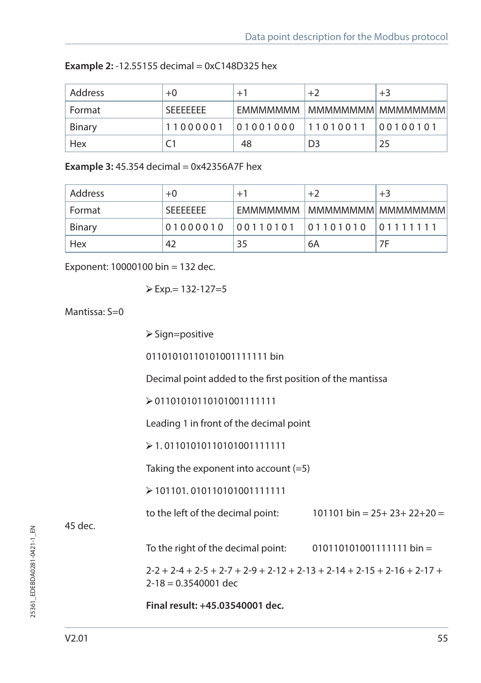| Address | $+0$             | $+1$              | $+2$                            | $+3$     |
|---------|------------------|-------------------|---------------------------------|----------|
| Format  | <b>SFFFFFFFF</b> |                   | EMMMMMMM   MMMMMMMMM   MMMMMMMM |          |
| Binary  | 11000001         | 01001000 11010011 |                                 | 00100101 |
| Hex     |                  | 48                | D <sub>3</sub>                  | 25       |

**Example 3:** 45.354 decimal = 0x42356A7F hex

| Address | $+0$             | $+1$              | $+2$ | $+3$               |
|---------|------------------|-------------------|------|--------------------|
| Format  | <b>SFFFFFFFF</b> | <b>FMMMMMMM</b>   |      | MMMMMMMM  MMMMMMMM |
| Binary  | 01000010         | 00110101 01101010 |      | 101111111          |
| Hex     | 42               | 35                | 6A   | 7F                 |

Exponent: 10000100 bin = 132 dec.

$$
\triangleright \text{Exp} = 132 - 127 = 5
$$

Mantissa:  $S=0$ 

 $\triangleright$  Sign=positive

011010101101010011111111 bin

Decimal point added to the first position of the mantissa

 $\geq 011010101110101001111111$ 

Leading 1 in front of the decimal point

 $\geq 1.01101010110101001111111$ 

Taking the exponent into account  $(=5)$ 

101101. 010110101001111111

to the left of the decimal point:  $101101 \text{ bin} = 25 + 23 + 22 + 20 =$ 

45 dec.

To the right of the decimal point:  $010110101001111111$  bin =

 $2-2 + 2-4 + 2-5 + 2-7 + 2-9 + 2-12 + 2-13 + 2-14 + 2-15 + 2-16 + 2-17 +$  $2 - 18 = 0.3540001$  dec

**Final result: +45.03540001 dec.**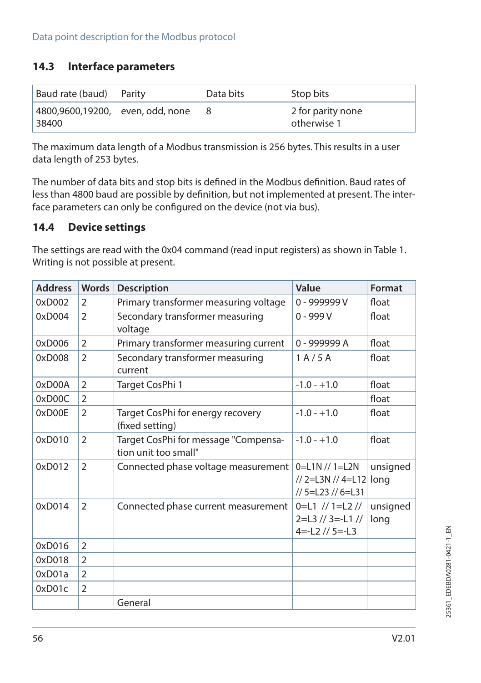#### **14.3 Interface parameters**

| Baud rate (baud)                          | Parity | Data bits | Stop bits                        |
|-------------------------------------------|--------|-----------|----------------------------------|
| 4800,9600,19200, even, odd, none<br>38400 |        |           | 2 for parity none<br>otherwise 1 |

The maximum data length of a Modbus transmission is 256 bytes. This results in a user data length of 253 bytes.

The number of data bits and stop bits is defined in the Modbus definition. Baud rates of less than 4800 baud are possible by definition, but not implemented at present. The interface parameters can only be configured on the device (not via bus).

#### **14.4 Device settings**

The settings are read with the 0x04 command (read input registers) as shown in Table 1. Writing is not possible at present.

| <b>Address</b> | <b>Words</b>   | <b>Description</b>                                           | Value                                                               | Format           |
|----------------|----------------|--------------------------------------------------------------|---------------------------------------------------------------------|------------------|
| 0xD002         | 2              | Primary transformer measuring voltage                        | 0 - 999999 V                                                        | float            |
| 0xD004         | $\overline{2}$ | Secondary transformer measuring<br>voltage                   | $0 - 999V$                                                          | float            |
| 0xD006         | $\overline{2}$ | Primary transformer measuring current                        | 0 - 999999 A                                                        | float            |
| 0xD008         | $\overline{2}$ | Secondary transformer measuring<br>current                   | 1 A / 5 A                                                           | float            |
| 0xD00A         | $\mathcal{P}$  | Target CosPhi 1                                              | $-1.0 - +1.0$                                                       | float            |
| 0xD00C         | $\overline{2}$ |                                                              |                                                                     | float            |
| 0xD00E         | $\overline{2}$ | Target CosPhi for energy recovery<br>(fixed setting)         | $-1.0 - +1.0$                                                       | float            |
| 0xD010         | $\overline{2}$ | Target CosPhi for message "Compensa-<br>tion unit too small" | $-1.0 - +1.0$                                                       | float            |
| 0xD012         | $\overline{2}$ | Connected phase voltage measurement                          | $0=$ L1N // 1=L2N<br>// 2=L3N // 4=L12 long<br>// 5=L23 // 6=L31    | unsigned         |
| 0xD014         | $\mathfrak{D}$ | Connected phase current measurement                          | $0=$ L1 // 1=L2 //<br>$2=$ L3 // 3=-L1 //<br>$4 = -12$ // $5 = -13$ | unsigned<br>long |
| 0xD016         | $\overline{2}$ |                                                              |                                                                     |                  |
| 0xD018         | $\overline{2}$ |                                                              |                                                                     |                  |
| 0xD01a         | $\overline{2}$ |                                                              |                                                                     |                  |
| 0xD01c         | $\overline{2}$ |                                                              |                                                                     |                  |
|                |                | General                                                      |                                                                     |                  |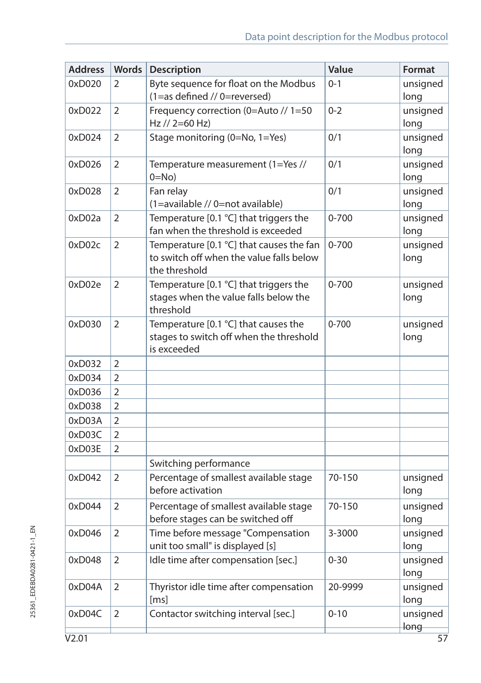| <b>Address</b> | <b>Words</b>   | <b>Description</b>                                                                                    | Value     | Format           |
|----------------|----------------|-------------------------------------------------------------------------------------------------------|-----------|------------------|
| 0xD020         | 2              | Byte sequence for float on the Modbus<br>(1=as defined // 0=reversed)                                 | $0 - 1$   | unsigned<br>long |
| 0xD022         | $\overline{2}$ | Frequency correction (0=Auto // 1=50<br>$Hz$ // 2=60 Hz)                                              | $0 - 2$   | unsigned<br>long |
| 0xD024         | $\overline{2}$ | Stage monitoring (0=No, 1=Yes)                                                                        | 0/1       | unsigned<br>long |
| 0xD026         | 2              | Temperature measurement (1=Yes //<br>$0 = No$ )                                                       | 0/1       | unsigned<br>long |
| 0xD028         | $\overline{2}$ | Fan relay<br>(1=available // 0=not available)                                                         | 0/1       | unsigned<br>long |
| 0xD02a         | 2              | Temperature [0.1 °C] that triggers the<br>fan when the threshold is exceeded                          | $0 - 700$ | unsigned<br>long |
| 0xD02c         | $\overline{2}$ | Temperature [0.1 °C] that causes the fan<br>to switch off when the value falls below<br>the threshold | $0 - 700$ | unsigned<br>long |
| 0xD02e         | $\overline{2}$ | Temperature [0.1 °C] that triggers the<br>stages when the value falls below the<br>threshold          | $0 - 700$ | unsigned<br>long |
| 0xD030         | $\overline{2}$ | Temperature [0.1 °C] that causes the<br>stages to switch off when the threshold<br>is exceeded        | $0 - 700$ | unsigned<br>long |
| 0xD032         | $\overline{2}$ |                                                                                                       |           |                  |
| 0xD034         | 2              |                                                                                                       |           |                  |
| 0xD036         | 2              |                                                                                                       |           |                  |
| 0xD038         | $\overline{2}$ |                                                                                                       |           |                  |
| 0xD03A         | $\overline{2}$ |                                                                                                       |           |                  |
| 0xD03C         | $\overline{2}$ |                                                                                                       |           |                  |
| 0xD03E         | $\overline{2}$ |                                                                                                       |           |                  |
|                |                | Switching performance                                                                                 |           |                  |
| 0xD042         | 2              | Percentage of smallest available stage<br>before activation                                           | 70-150    | unsigned<br>long |
| 0xD044         | $\overline{2}$ | Percentage of smallest available stage<br>before stages can be switched off                           | 70-150    | unsigned<br>long |
| 0xD046         | 2              | Time before message "Compensation<br>unit too small" is displayed [s]                                 | 3-3000    | unsigned<br>long |
| 0xD048         | $\overline{2}$ | Idle time after compensation [sec.]                                                                   | $0 - 30$  | unsigned<br>long |
| 0xD04A         | $\overline{2}$ | Thyristor idle time after compensation<br>[ms]                                                        | 20-9999   | unsigned<br>long |
| 0xD04C         | $\overline{2}$ | Contactor switching interval [sec.]                                                                   | $0 - 10$  | unsigned<br>long |
|                |                |                                                                                                       |           |                  |

V2.01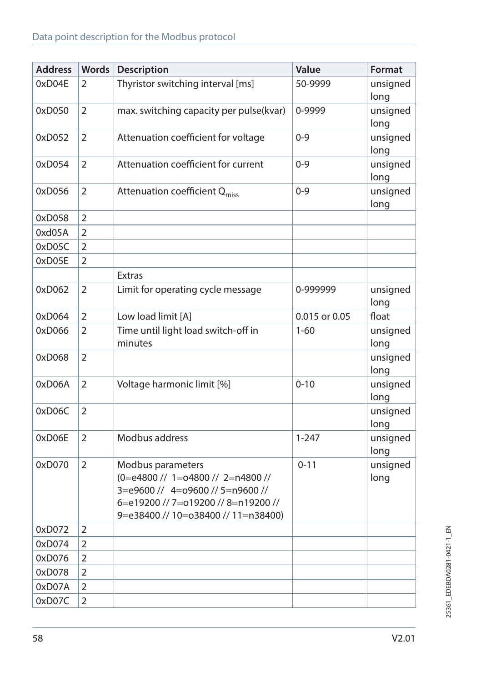| <b>Address</b> | <b>Words</b>   | <b>Description</b>                                                                                                                                                       | Value         | Format           |
|----------------|----------------|--------------------------------------------------------------------------------------------------------------------------------------------------------------------------|---------------|------------------|
| 0xD04E         | 2              | Thyristor switching interval [ms]                                                                                                                                        | 50-9999       | unsigned<br>long |
| 0xD050         | $\overline{2}$ | max. switching capacity per pulse(kvar)                                                                                                                                  | 0-9999        | unsigned<br>long |
| 0xD052         | $\overline{2}$ | Attenuation coefficient for voltage                                                                                                                                      | $0 - 9$       | unsigned<br>long |
| 0xD054         | 2              | Attenuation coefficient for current                                                                                                                                      | $0 - 9$       | unsigned<br>long |
| 0xD056         | $\overline{2}$ | Attenuation coefficient Q <sub>miss</sub>                                                                                                                                | $0 - 9$       | unsigned<br>long |
| 0xD058         | 2              |                                                                                                                                                                          |               |                  |
| 0xd05A         | $\overline{2}$ |                                                                                                                                                                          |               |                  |
| 0xD05C         | $\overline{2}$ |                                                                                                                                                                          |               |                  |
| 0xD05E         | $\overline{2}$ |                                                                                                                                                                          |               |                  |
|                |                | <b>Extras</b>                                                                                                                                                            |               |                  |
| 0xD062         | $\overline{2}$ | Limit for operating cycle message                                                                                                                                        | 0-999999      | unsigned<br>long |
| 0xD064         | $\overline{2}$ | Low load limit [A]                                                                                                                                                       | 0.015 or 0.05 | float            |
| 0xD066         | $\overline{2}$ | Time until light load switch-off in<br>minutes                                                                                                                           | $1 - 60$      | unsigned<br>long |
| 0xD068         | $\overline{2}$ |                                                                                                                                                                          |               | unsigned<br>long |
| 0xD06A         | $\overline{2}$ | Voltage harmonic limit [%]                                                                                                                                               | $0 - 10$      | unsigned<br>long |
| 0xD06C         | 2              |                                                                                                                                                                          |               | unsigned<br>long |
| 0xD06E         | $\overline{2}$ | Modbus address                                                                                                                                                           | $1 - 247$     | unsigned<br>long |
| 0xD070         | 2              | Modbus parameters<br>(0=e4800 // 1=o4800 // 2=n4800 //<br>3=e9600 // 4=o9600 // 5=n9600 //<br>6=e19200 // 7=o19200 // 8=n19200 //<br>9=e38400 // 10=o38400 // 11=n38400) | $0 - 11$      | unsigned<br>long |
| 0xD072         | $\overline{2}$ |                                                                                                                                                                          |               |                  |
| 0xD074         | $\overline{2}$ |                                                                                                                                                                          |               |                  |
| 0xD076         | $\overline{2}$ |                                                                                                                                                                          |               |                  |
| 0xD078         | 2              |                                                                                                                                                                          |               |                  |
| 0xD07A         | $\overline{2}$ |                                                                                                                                                                          |               |                  |
| 0xD07C         | $\overline{2}$ |                                                                                                                                                                          |               |                  |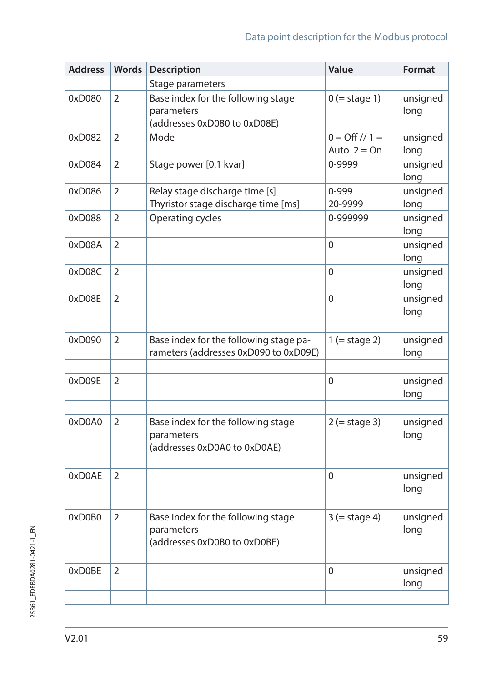| <b>Address</b> | Words          | <b>Description</b>                                                               | Value                                  | Format           |
|----------------|----------------|----------------------------------------------------------------------------------|----------------------------------------|------------------|
|                |                | Stage parameters                                                                 |                                        |                  |
| 0xD080         | 2              | Base index for the following stage<br>parameters<br>(addresses 0xD080 to 0xD08E) | $0$ (= stage 1)                        | unsigned<br>long |
| 0xD082         | $\overline{2}$ | Mode                                                                             | $0 = \frac{Off}{1} =$<br>Auto $2 = On$ | unsigned<br>long |
| 0xD084         | 2              | Stage power [0.1 kvar]                                                           | 0-9999                                 | unsigned<br>long |
| 0xD086         | 2              | Relay stage discharge time [s]<br>Thyristor stage discharge time [ms]            | 0-999<br>20-9999                       | unsigned<br>long |
| 0xD088         | 2              | Operating cycles                                                                 | 0-999999                               | unsigned<br>long |
| 0xD08A         | 2              |                                                                                  | 0                                      | unsigned<br>long |
| 0xD08C         | 2              |                                                                                  | $\Omega$                               | unsigned<br>long |
| 0xD08E         | $\overline{2}$ |                                                                                  | 0                                      | unsigned<br>long |
| 0xD090         | 2              | Base index for the following stage pa-<br>rameters (addresses 0xD090 to 0xD09E)  | $1 (= stage 2)$                        | unsigned<br>long |
| 0xD09E         | 2              |                                                                                  | 0                                      | unsigned<br>long |
|                |                |                                                                                  |                                        |                  |
| 0xD0A0         | 2              | Base index for the following stage<br>parameters<br>(addresses 0xD0A0 to 0xD0AE) | $2 (= stage 3)$                        | unsigned<br>long |
|                |                |                                                                                  |                                        |                  |
| 0xD0AE         | 2              |                                                                                  | 0                                      | unsigned<br>long |
|                |                |                                                                                  |                                        |                  |
| 0xD0B0         | $\overline{2}$ | Base index for the following stage<br>parameters<br>(addresses 0xD0B0 to 0xD0BE) | $3 (= stage 4)$                        | unsigned<br>long |
|                |                |                                                                                  |                                        |                  |
| 0xD0BE         | 2              |                                                                                  | 0                                      | unsigned<br>long |
|                |                |                                                                                  |                                        |                  |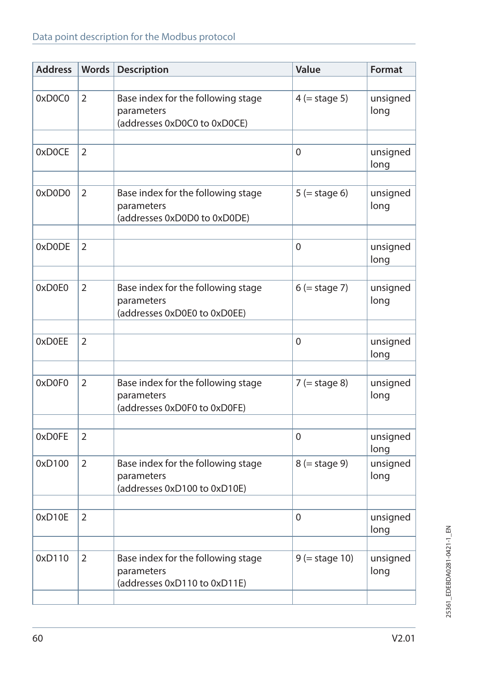## Data point description for the Modbus protocol

| <b>Address</b> | <b>Words</b>   | Description                                                                      | Value            | Format           |
|----------------|----------------|----------------------------------------------------------------------------------|------------------|------------------|
|                |                |                                                                                  |                  |                  |
| 0xD0C0         | 2              | Base index for the following stage<br>parameters<br>(addresses 0xD0C0 to 0xD0CE) | $4$ (= stage 5)  | unsigned<br>long |
|                |                |                                                                                  |                  |                  |
| 0xD0CE         | 2              |                                                                                  | $\mathbf{0}$     | unsigned<br>long |
|                |                |                                                                                  |                  |                  |
| 0xD0D0         | 2              | Base index for the following stage<br>parameters<br>(addresses 0xD0D0 to 0xD0DE) | $5 (= stage 6)$  | unsigned<br>long |
|                |                |                                                                                  |                  |                  |
| 0xD0DE         | $\overline{2}$ |                                                                                  | $\mathbf{0}$     | unsigned<br>long |
|                |                |                                                                                  |                  |                  |
| 0xD0E0         | 2              | Base index for the following stage<br>parameters<br>(addresses 0xD0E0 to 0xD0EE) | $6$ (= stage 7)  | unsigned<br>long |
|                |                |                                                                                  |                  |                  |
| 0xD0EE         | 2              |                                                                                  | $\mathbf{0}$     | unsigned<br>long |
|                |                |                                                                                  |                  |                  |
| 0xD0F0         | $\overline{2}$ | Base index for the following stage<br>parameters<br>(addresses 0xD0F0 to 0xD0FE) | $7$ (= stage 8)  | unsigned<br>long |
|                |                |                                                                                  |                  |                  |
| 0xD0FE         | 2              |                                                                                  | $\Omega$         | unsigned<br>long |
| 0xD100         | 2              | Base index for the following stage<br>parameters<br>(addresses 0xD100 to 0xD10E) | $8$ (= stage 9)  | unsigned<br>long |
|                |                |                                                                                  |                  |                  |
| 0xD10E         | 2              |                                                                                  | 0                | unsigned<br>long |
|                |                |                                                                                  |                  |                  |
| 0xD110         | $\overline{2}$ | Base index for the following stage<br>parameters<br>(addresses 0xD110 to 0xD11E) | $9$ (= stage 10) | unsigned<br>long |
|                |                |                                                                                  |                  |                  |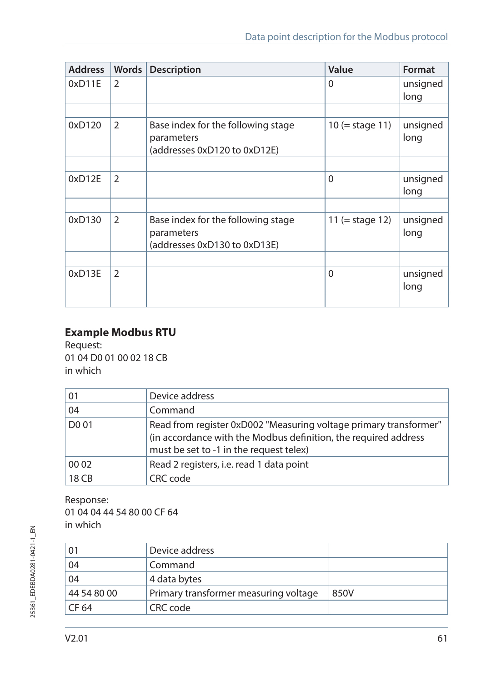| <b>Address</b> | Words          | <b>Description</b>                                                               | Value             | Format           |
|----------------|----------------|----------------------------------------------------------------------------------|-------------------|------------------|
| 0xD11E         | $\overline{2}$ |                                                                                  | $\Omega$          | unsigned<br>long |
|                |                |                                                                                  |                   |                  |
| 0xD120         | 2              | Base index for the following stage<br>parameters<br>(addresses 0xD120 to 0xD12E) | $10 (= stage 11)$ | unsigned<br>long |
|                |                |                                                                                  |                   |                  |
| 0xD12E         | $\overline{2}$ |                                                                                  | $\Omega$          | unsigned<br>long |
|                |                |                                                                                  |                   |                  |
| 0xD130         | $\overline{2}$ | Base index for the following stage<br>parameters<br>(addresses 0xD130 to 0xD13E) | 11 (= stage 12)   | unsigned<br>long |
|                |                |                                                                                  |                   |                  |
| 0xD13E         | $\overline{2}$ |                                                                                  | $\Omega$          | unsigned<br>long |
|                |                |                                                                                  |                   |                  |

#### **Example Modbus RTU**

Request: 01 04 D0 01 00 02 18 CB in which

| 01                | Device address                                                                                                                                                                  |
|-------------------|---------------------------------------------------------------------------------------------------------------------------------------------------------------------------------|
| 04                | Command                                                                                                                                                                         |
| D <sub>0</sub> 01 | Read from register 0xD002 "Measuring voltage primary transformer"<br>(in accordance with the Modbus definition, the required address<br>must be set to -1 in the request telex) |
| 00 02             | Read 2 registers, i.e. read 1 data point                                                                                                                                        |
| 18 CB             | CRC code                                                                                                                                                                        |

Response: 01 04 04 44 54 80 00 CF 64 in which

| 01          | Device address                        |      |
|-------------|---------------------------------------|------|
| 04          | Command                               |      |
| 04          | 4 data bytes                          |      |
| 44 54 80 00 | Primary transformer measuring voltage | 850V |
| CF 64       | CRC code                              |      |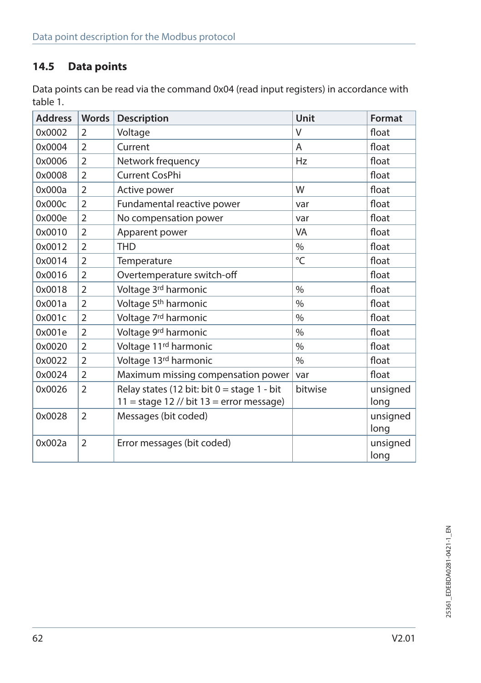## **14.5 Data points**

Data points can be read via the command 0x04 (read input registers) in accordance with table 1.

| <b>Address</b> | Words          | <b>Description</b>                            | Unit          | Format   |
|----------------|----------------|-----------------------------------------------|---------------|----------|
| 0x0002         | $\overline{2}$ | Voltage                                       | $\vee$        | float    |
| 0x0004         | $\mathfrak{D}$ | Current                                       | A             | float    |
| 0x0006         | $\overline{2}$ | Network frequency                             | Hz            | float    |
| 0x0008         | $\overline{2}$ | <b>Current CosPhi</b>                         |               | float    |
| 0x000a         | $\overline{2}$ | Active power                                  | W             | float    |
| 0x000c         | $\overline{2}$ | Fundamental reactive power                    | var           | float    |
| 0x000e         | $\overline{2}$ | No compensation power                         | var           | float    |
| 0x0010         | $\overline{2}$ | Apparent power                                | VA            | float    |
| 0x0012         | $\overline{2}$ | <b>THD</b>                                    | $\%$          | float    |
| 0x0014         | $\overline{2}$ | Temperature                                   | $\mathrm{C}$  | float    |
| 0x0016         | $\overline{2}$ | Overtemperature switch-off                    |               | float    |
| 0x0018         | $\overline{2}$ | Voltage 3rd harmonic                          | $\%$          | float    |
| 0x001a         | $\overline{2}$ | Voltage 5 <sup>th</sup> harmonic              | $\frac{0}{0}$ | float    |
| 0x001c         | $\overline{2}$ | Voltage 7 <sup>rd</sup> harmonic              | $\%$          | float    |
| 0x001e         | 2              | Voltage 9rd harmonic                          | $\frac{0}{0}$ | float    |
| 0x0020         | 2              | Voltage 11 <sup>rd</sup> harmonic             | $\%$          | float    |
| 0x0022         | $\overline{2}$ | Voltage 13rd harmonic                         | $\%$          | float    |
| 0x0024         | $\overline{2}$ | Maximum missing compensation power            | var           | float    |
| 0x0026         | $\overline{2}$ | Relay states (12 bit: bit $0 =$ stage 1 - bit | bitwise       | unsigned |
|                |                | $11 =$ stage 12 // bit 13 = error message)    |               | long     |
| 0x0028         | $\overline{2}$ | Messages (bit coded)                          |               | unsigned |
|                |                |                                               |               | long     |
| 0x002a         | 2              | Error messages (bit coded)                    |               | unsigned |
|                |                |                                               |               | long     |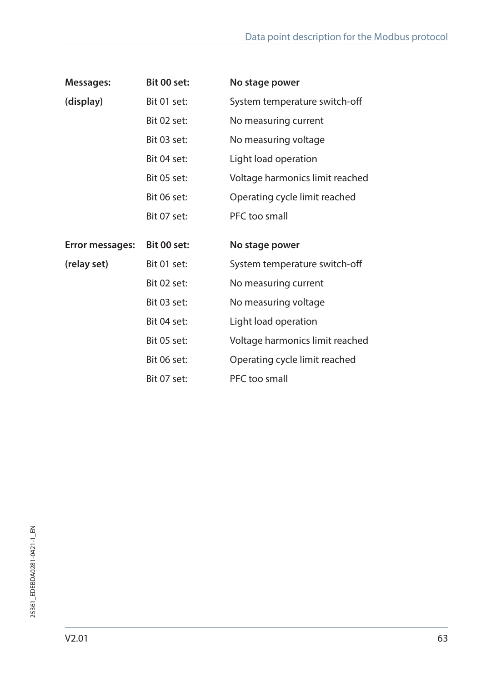| Messages:       | Bit 00 set: | No stage power                  |
|-----------------|-------------|---------------------------------|
| (display)       | Bit 01 set: | System temperature switch-off   |
|                 | Bit 02 set: | No measuring current            |
|                 | Bit 03 set: | No measuring voltage            |
|                 | Bit 04 set: | Light load operation            |
|                 | Bit 05 set: | Voltage harmonics limit reached |
|                 | Bit 06 set: | Operating cycle limit reached   |
|                 | Bit 07 set: | PFC too small                   |
|                 |             |                                 |
|                 |             |                                 |
| Error messages: | Bit 00 set: | No stage power                  |
| (relay set)     | Bit 01 set: | System temperature switch-off   |
|                 | Bit 02 set: | No measuring current            |
|                 | Bit 03 set: | No measuring voltage            |
|                 | Bit 04 set: | Light load operation            |
|                 | Bit 05 set: | Voltage harmonics limit reached |
|                 | Bit 06 set: | Operating cycle limit reached   |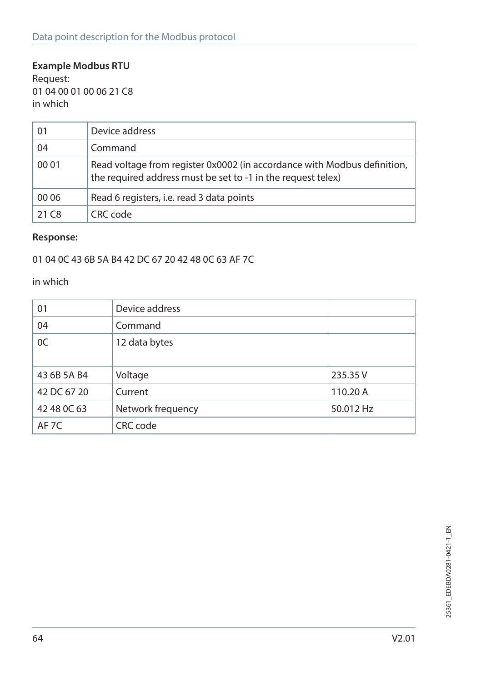#### **Example Modbus RTU**

Request: 01 04 00 01 00 06 21 C8 in which

| 01    | Device address                                                                                                                           |
|-------|------------------------------------------------------------------------------------------------------------------------------------------|
| 04    | Command                                                                                                                                  |
| 00 01 | Read voltage from register 0x0002 (in accordance with Modbus definition,<br>the required address must be set to -1 in the request telex) |
| 00 06 | Read 6 registers, i.e. read 3 data points                                                                                                |
| 21 C8 | CRC code                                                                                                                                 |

#### **Response:**

01 04 0C 43 6B 5A B4 42 DC 67 20 42 48 0C 63 AF 7C

in which

| 01               | Device address    |           |
|------------------|-------------------|-----------|
| 04               | Command           |           |
| 0C               | 12 data bytes     |           |
|                  |                   |           |
| 43 6B 5A B4      | Voltage           | 235.35 V  |
| 42 DC 67 20      | Current           | 110.20 A  |
| 42 48 0C 63      | Network frequency | 50.012 Hz |
| AF <sub>7C</sub> | CRC code          |           |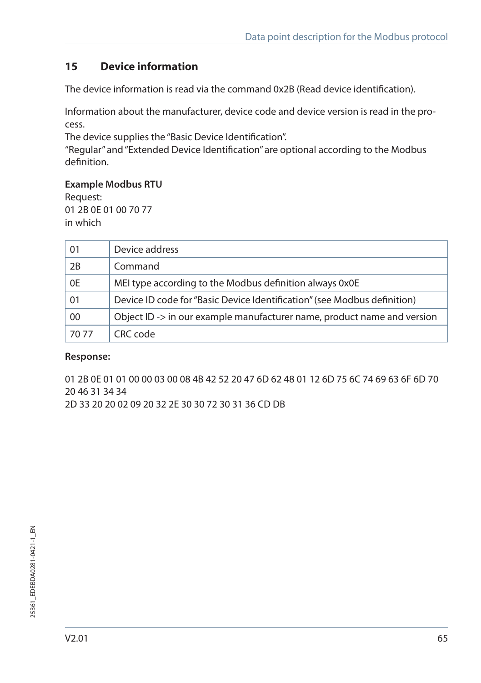## **15 Device information**

The device information is read via the command 0x2B (Read device identification).

Information about the manufacturer, device code and device version is read in the process.

The device supplies the "Basic Device Identification".

"Regular" and "Extended Device Identification" are optional according to the Modbus definition.

#### **Example Modbus RTU**

Request: 01 2B 0E 01 00 70 77 in which

| 01    | Device address                                                           |
|-------|--------------------------------------------------------------------------|
| 2B    | Command                                                                  |
| 0E    | MEI type according to the Modbus definition always 0x0E                  |
| 01    | Device ID code for "Basic Device Identification" (see Modbus definition) |
| 00    | Object ID -> in our example manufacturer name, product name and version  |
| 70 77 | CRC code                                                                 |

#### **Response:**

01 2B 0E 01 01 00 00 03 00 08 4B 42 52 20 47 6D 62 48 01 12 6D 75 6C 74 69 63 6F 6D 70 20 46 31 34 34

2D 33 20 20 02 09 20 32 2E 30 30 72 30 31 36 CD DB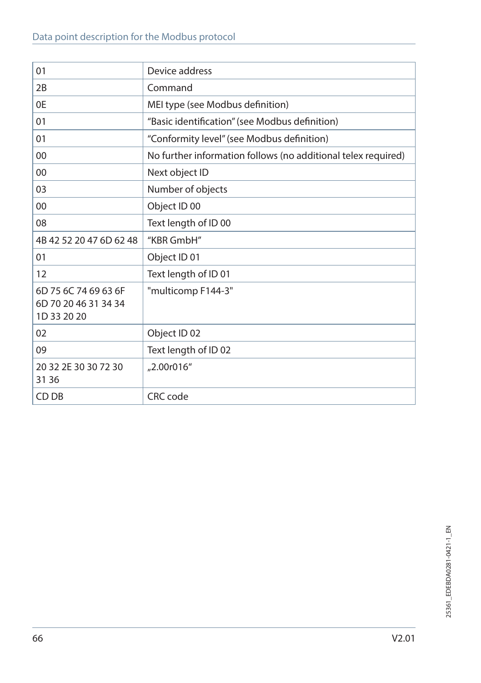| 01                                                          | Device address                                                |
|-------------------------------------------------------------|---------------------------------------------------------------|
| 2B                                                          | Command                                                       |
| 0E                                                          | MEI type (see Modbus definition)                              |
| 01                                                          | "Basic identification" (see Modbus definition)                |
| 01                                                          | "Conformity level" (see Modbus definition)                    |
| 00                                                          | No further information follows (no additional telex required) |
| 00                                                          | Next object ID                                                |
| 03                                                          | Number of objects                                             |
| 00                                                          | Object ID 00                                                  |
| 08                                                          | Text length of ID 00                                          |
| 4B 42 52 20 47 6D 62 48                                     | "KBR GmbH"                                                    |
| 01                                                          | Object ID 01                                                  |
| 12                                                          | Text length of ID 01                                          |
| 6D 75 6C 74 69 63 6F<br>6D 70 20 46 31 34 34<br>1D 33 20 20 | "multicomp F144-3"                                            |
| 02                                                          | Object ID 02                                                  |
| 09                                                          | Text length of ID 02                                          |
| 20 32 2E 30 30 72 30<br>31 36                               | "2.00r016"                                                    |
| CD DB                                                       | CRC code                                                      |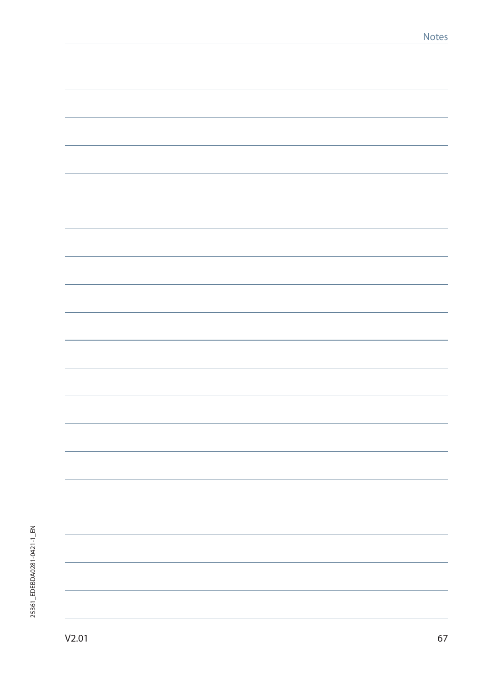